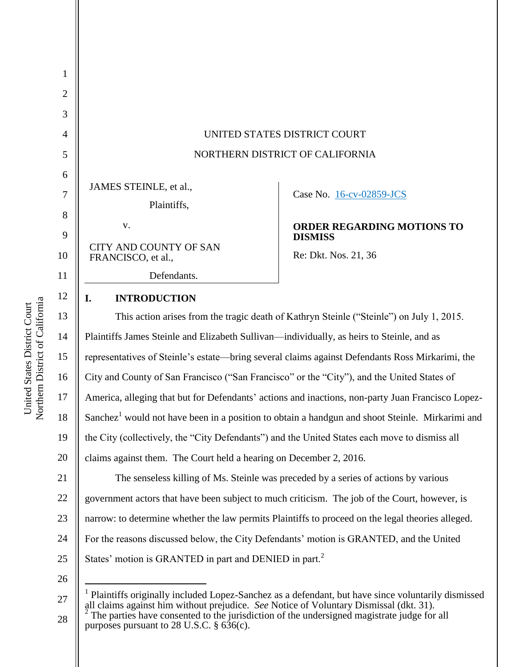| $\mathbf{1}$ |                                                                                                                                                                                             |                                                                                                             |
|--------------|---------------------------------------------------------------------------------------------------------------------------------------------------------------------------------------------|-------------------------------------------------------------------------------------------------------------|
| $\mathbf{2}$ |                                                                                                                                                                                             |                                                                                                             |
| 3            |                                                                                                                                                                                             |                                                                                                             |
| 4            | UNITED STATES DISTRICT COURT                                                                                                                                                                |                                                                                                             |
| 5            | NORTHERN DISTRICT OF CALIFORNIA                                                                                                                                                             |                                                                                                             |
| 6            |                                                                                                                                                                                             |                                                                                                             |
| $\tau$       | JAMES STEINLE, et al.,                                                                                                                                                                      | Case No. 16-cv-02859-JCS                                                                                    |
| 8            | Plaintiffs,                                                                                                                                                                                 |                                                                                                             |
| 9            | V.                                                                                                                                                                                          | <b>ORDER REGARDING MOTIONS TO</b><br><b>DISMISS</b>                                                         |
| 10           | <b>CITY AND COUNTY OF SAN</b><br>FRANCISCO, et al.,                                                                                                                                         | Re: Dkt. Nos. 21, 36                                                                                        |
| 11           | Defendants.                                                                                                                                                                                 |                                                                                                             |
| 12           | <b>INTRODUCTION</b><br>I.                                                                                                                                                                   |                                                                                                             |
| 13           | This action arises from the tragic death of Kathryn Steinle ("Steinle") on July 1, 2015.                                                                                                    |                                                                                                             |
| 14           | Plaintiffs James Steinle and Elizabeth Sullivan—individually, as heirs to Steinle, and as                                                                                                   |                                                                                                             |
| 15           |                                                                                                                                                                                             | representatives of Steinle's estate—bring several claims against Defendants Ross Mirkarimi, the             |
| 16           | City and County of San Francisco ("San Francisco" or the "City"), and the United States of                                                                                                  |                                                                                                             |
| 17           | America, alleging that but for Defendants' actions and inactions, non-party Juan Francisco Lopez-                                                                                           |                                                                                                             |
| 18           |                                                                                                                                                                                             | Sanchez <sup>1</sup> would not have been in a position to obtain a handgun and shoot Steinle. Mirkarimi and |
| 19           | the City (collectively, the "City Defendants") and the United States each move to dismiss all                                                                                               |                                                                                                             |
| 20           | claims against them. The Court held a hearing on December 2, 2016.                                                                                                                          |                                                                                                             |
| 21           |                                                                                                                                                                                             | The senseless killing of Ms. Steinle was preceded by a series of actions by various                         |
| 22           | government actors that have been subject to much criticism. The job of the Court, however, is                                                                                               |                                                                                                             |
| 23           | narrow: to determine whether the law permits Plaintiffs to proceed on the legal theories alleged.                                                                                           |                                                                                                             |
| 24           | For the reasons discussed below, the City Defendants' motion is GRANTED, and the United                                                                                                     |                                                                                                             |
| 25           | States' motion is GRANTED in part and DENIED in part. <sup>2</sup>                                                                                                                          |                                                                                                             |
| 26           |                                                                                                                                                                                             |                                                                                                             |
| 27           | Plaintiffs originally included Lopez-Sanchez as a defendant, but have since voluntarily dismissed<br>all claims against him without prejudice. See Notice of Voluntary Dismissal (dkt. 31). |                                                                                                             |
| 28           | The parties have consented to the jurisdiction of the undersigned magistrate judge for all                                                                                                  |                                                                                                             |

The parties have consented to the jurisdiction of the undersigned magistrate judge for all purposes pursuant to 28 U.S.C. § 636(c).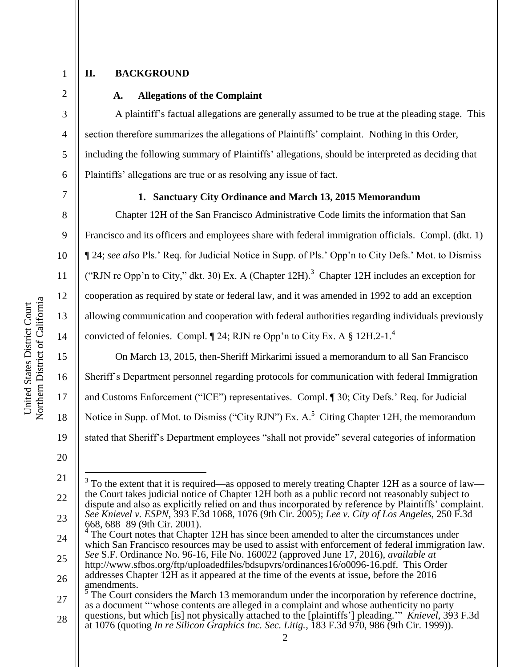3

4

5

6

## **II. BACKGROUND**

## **A. Allegations of the Complaint**

A plaintiff's factual allegations are generally assumed to be true at the pleading stage. This section therefore summarizes the allegations of Plaintiffs' complaint. Nothing in this Order, including the following summary of Plaintiffs' allegations, should be interpreted as deciding that Plaintiffs' allegations are true or as resolving any issue of fact.

7

8

9

10

11

12

13

14

15

16

17

18

#### **1. Sanctuary City Ordinance and March 13, 2015 Memorandum**

Chapter 12H of the San Francisco Administrative Code limits the information that San Francisco and its officers and employees share with federal immigration officials. Compl. (dkt. 1) ¶ 24; *see also* Pls.' Req. for Judicial Notice in Supp. of Pls.' Opp'n to City Defs.' Mot. to Dismiss ("RJN re Opp'n to City," dkt. 30) Ex. A (Chapter 12H).<sup>3</sup> Chapter 12H includes an exception for cooperation as required by state or federal law, and it was amended in 1992 to add an exception allowing communication and cooperation with federal authorities regarding individuals previously convicted of felonies. Compl. ¶ 24; RJN re Opp'n to City Ex. A § 12H.2-1.<sup>4</sup>

On March 13, 2015, then-Sheriff Mirkarimi issued a memorandum to all San Francisco Sheriff's Department personnel regarding protocols for communication with federal Immigration and Customs Enforcement ("ICE") representatives. Compl.  $\P$  30; City Defs.' Req. for Judicial Notice in Supp. of Mot. to Dismiss ("City RJN") Ex.  $A$ <sup>5</sup> Citing Chapter 12H, the memorandum stated that Sheriff's Department employees "shall not provide" several categories of information

20

 $\overline{a}$ 

<sup>21</sup> 22 23  $3$  To the extent that it is required—as opposed to merely treating Chapter 12H as a source of law the Court takes judicial notice of Chapter 12H both as a public record not reasonably subject to dispute and also as explicitly relied on and thus incorporated by reference by Plaintiffs' complaint. *See Knievel v. ESPN*, 393 F.3d 1068, 1076 (9th Cir. 2005); *Lee v. City of Los Angeles*, 250 F.3d 668, 688−89 (9th Cir. 2001).

<sup>24</sup>  $\tilde{4}$ The Court notes that Chapter 12H has since been amended to alter the circumstances under which San Francisco resources may be used to assist with enforcement of federal immigration law. *See* S.F. Ordinance No. 96-16, File No. 160022 (approved June 17, 2016), *available at*

<sup>25</sup> 26 http://www.sfbos.org/ftp/uploadedfiles/bdsupvrs/ordinances16/o0096-16.pdf. This Order addresses Chapter 12H as it appeared at the time of the events at issue, before the 2016

<sup>27</sup> amendments.<br> $5 \text{ The Court}$ The Court considers the March 13 memorandum under the incorporation by reference doctrine, as a document "whose contents are alleged in a complaint and whose authenticity no party questions, but which [is] not physically attached to the [plaintiffs'] pleading." *Knievel*, 393 F.3d

<sup>28</sup> at 1076 (quoting *In re Silicon Graphics Inc. Sec. Litig.*, 183 F.3d 970, 986 (9th Cir. 1999)).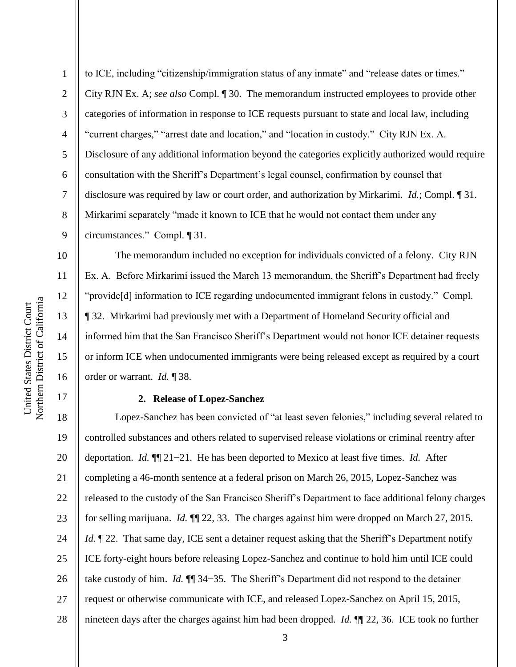10

11

12

13

14

15

16

17

2 3 4 5 6 7 8 9 to ICE, including "citizenship/immigration status of any inmate" and "release dates or times." City RJN Ex. A; *see also* Compl. ¶ 30. The memorandum instructed employees to provide other categories of information in response to ICE requests pursuant to state and local law, including "current charges," "arrest date and location," and "location in custody." City RJN Ex. A. Disclosure of any additional information beyond the categories explicitly authorized would require consultation with the Sheriff's Department's legal counsel, confirmation by counsel that disclosure was required by law or court order, and authorization by Mirkarimi. *Id.*; Compl. ¶ 31. Mirkarimi separately "made it known to ICE that he would not contact them under any circumstances.‖ Compl. ¶ 31.

The memorandum included no exception for individuals convicted of a felony. City RJN Ex. A. Before Mirkarimi issued the March 13 memorandum, the Sheriff's Department had freely "provide[d] information to ICE regarding undocumented immigrant felons in custody." Compl. ¶ 32. Mirkarimi had previously met with a Department of Homeland Security official and informed him that the San Francisco Sheriff's Department would not honor ICE detainer requests or inform ICE when undocumented immigrants were being released except as required by a court order or warrant. *Id.* ¶ 38.

#### **2. Release of Lopez-Sanchez**

18 19 20 21 22 23 24 25 26 27 28 Lopez-Sanchez has been convicted of "at least seven felonies," including several related to controlled substances and others related to supervised release violations or criminal reentry after deportation. *Id.* ¶¶ 21−21. He has been deported to Mexico at least five times. *Id.* After completing a 46-month sentence at a federal prison on March 26, 2015, Lopez-Sanchez was released to the custody of the San Francisco Sheriff's Department to face additional felony charges for selling marijuana. *Id.* ¶¶ 22, 33. The charges against him were dropped on March 27, 2015. *Id.*  $\mathbb{I}$  22. That same day, ICE sent a detainer request asking that the Sheriff's Department notify ICE forty-eight hours before releasing Lopez-Sanchez and continue to hold him until ICE could take custody of him. *Id.* ¶¶ 34−35. The Sheriff's Department did not respond to the detainer request or otherwise communicate with ICE, and released Lopez-Sanchez on April 15, 2015, nineteen days after the charges against him had been dropped. *Id.* ¶¶ 22, 36. ICE took no further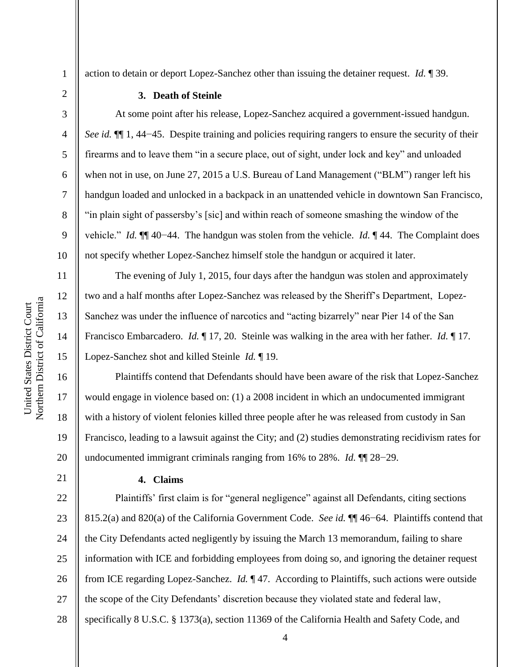2

3

4

5

6

7

8

9

10

11

12

13

14

15

16

17

18

19

20

21

action to detain or deport Lopez-Sanchez other than issuing the detainer request. *Id.* ¶ 39.

#### **3. Death of Steinle**

At some point after his release, Lopez-Sanchez acquired a government-issued handgun. *See id.* ¶ 1, 44–45. Despite training and policies requiring rangers to ensure the security of their firearms and to leave them "in a secure place, out of sight, under lock and key" and unloaded when not in use, on June 27, 2015 a U.S. Bureau of Land Management ("BLM") ranger left his handgun loaded and unlocked in a backpack in an unattended vehicle in downtown San Francisco, ―in plain sight of passersby's [sic] and within reach of someone smashing the window of the vehicle.‖ *Id.* ¶¶ 40−44. The handgun was stolen from the vehicle. *Id.* ¶ 44. The Complaint does not specify whether Lopez-Sanchez himself stole the handgun or acquired it later.

The evening of July 1, 2015, four days after the handgun was stolen and approximately two and a half months after Lopez-Sanchez was released by the Sheriff's Department, Lopez-Sanchez was under the influence of narcotics and "acting bizarrely" near Pier 14 of the San Francisco Embarcadero. *Id.* ¶ 17, 20. Steinle was walking in the area with her father. *Id.* ¶ 17. Lopez-Sanchez shot and killed Steinle *Id.* ¶ 19.

Plaintiffs contend that Defendants should have been aware of the risk that Lopez-Sanchez would engage in violence based on: (1) a 2008 incident in which an undocumented immigrant with a history of violent felonies killed three people after he was released from custody in San Francisco, leading to a lawsuit against the City; and (2) studies demonstrating recidivism rates for undocumented immigrant criminals ranging from 16% to 28%. *Id.* ¶¶ 28−29.

### **4. Claims**

22 23 24 25 26 27 28 Plaintiffs' first claim is for "general negligence" against all Defendants, citing sections 815.2(a) and 820(a) of the California Government Code. *See id.* ¶¶ 46−64. Plaintiffs contend that the City Defendants acted negligently by issuing the March 13 memorandum, failing to share information with ICE and forbidding employees from doing so, and ignoring the detainer request from ICE regarding Lopez-Sanchez. *Id.* ¶ 47. According to Plaintiffs, such actions were outside the scope of the City Defendants' discretion because they violated state and federal law, specifically 8 U.S.C. § 1373(a), section 11369 of the California Health and Safety Code, and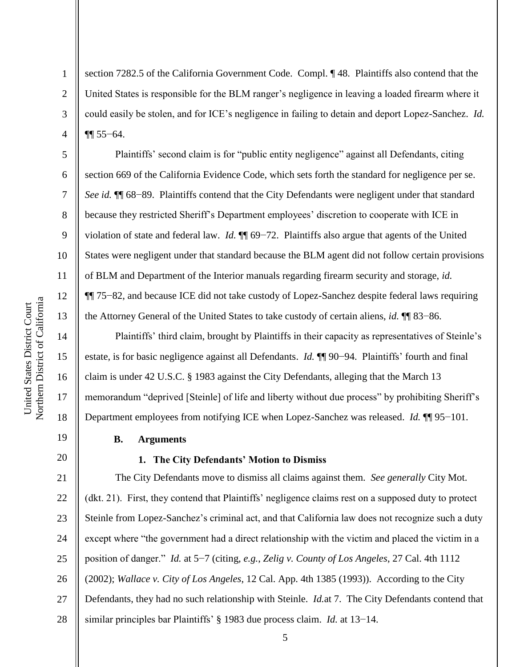2

3

4

5

6

7

8

9

10

11

12

13

14

15

16

17

18

19

20

section 7282.5 of the California Government Code. Compl. ¶ 48. Plaintiffs also contend that the United States is responsible for the BLM ranger's negligence in leaving a loaded firearm where it could easily be stolen, and for ICE's negligence in failing to detain and deport Lopez-Sanchez. *Id.* ¶¶ 55−64.

Plaintiffs' second claim is for "public entity negligence" against all Defendants, citing section 669 of the California Evidence Code, which sets forth the standard for negligence per se. *See id.* ¶ 68–89. Plaintiffs contend that the City Defendants were negligent under that standard because they restricted Sheriff's Department employees' discretion to cooperate with ICE in violation of state and federal law. *Id.* ¶¶ 69−72. Plaintiffs also argue that agents of the United States were negligent under that standard because the BLM agent did not follow certain provisions of BLM and Department of the Interior manuals regarding firearm security and storage, *id.* ¶¶ 75−82, and because ICE did not take custody of Lopez-Sanchez despite federal laws requiring the Attorney General of the United States to take custody of certain aliens, *id.* ¶¶ 83−86.

Plaintiffs' third claim, brought by Plaintiffs in their capacity as representatives of Steinle's estate, is for basic negligence against all Defendants. *Id.* ¶¶ 90−94. Plaintiffs' fourth and final claim is under 42 U.S.C. § 1983 against the City Defendants, alleging that the March 13 memorandum "deprived [Steinle] of life and liberty without due process" by prohibiting Sheriff's Department employees from notifying ICE when Lopez-Sanchez was released. *Id.* ¶¶ 95−101.

**B. Arguments**

#### **1. The City Defendants' Motion to Dismiss**

21 22 23 24 25 26 27 28 The City Defendants move to dismiss all claims against them. *See generally* City Mot. (dkt. 21). First, they contend that Plaintiffs' negligence claims rest on a supposed duty to protect Steinle from Lopez-Sanchez's criminal act, and that California law does not recognize such a duty except where "the government had a direct relationship with the victim and placed the victim in a position of danger.‖ *Id.* at 5−7 (citing, *e.g.*, *Zelig v. County of Los Angeles*, 27 Cal. 4th 1112 (2002); *Wallace v. City of Los Angeles*, 12 Cal. App. 4th 1385 (1993)). According to the City Defendants, they had no such relationship with Steinle. *Id.*at 7. The City Defendants contend that similar principles bar Plaintiffs' § 1983 due process claim. *Id.* at 13−14.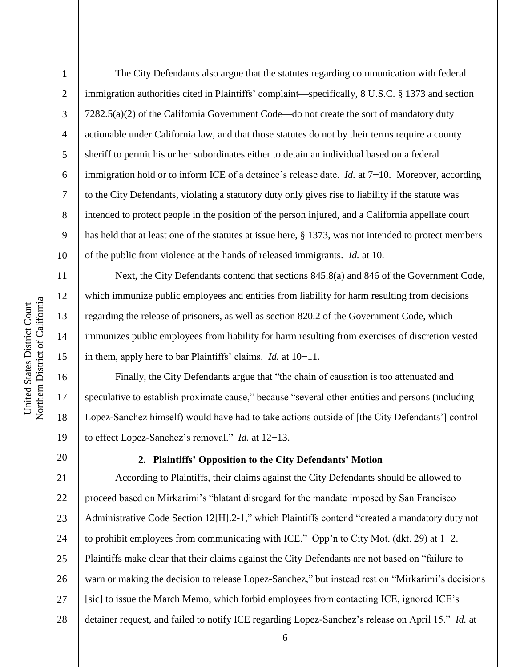12

13

14

15

16

17

18

19

20

1 2 3 4 5 6 7 8 9 10 The City Defendants also argue that the statutes regarding communication with federal immigration authorities cited in Plaintiffs' complaint—specifically, 8 U.S.C. § 1373 and section 7282.5(a)(2) of the California Government Code—do not create the sort of mandatory duty actionable under California law, and that those statutes do not by their terms require a county sheriff to permit his or her subordinates either to detain an individual based on a federal immigration hold or to inform ICE of a detainee's release date. *Id.* at 7−10. Moreover, according to the City Defendants, violating a statutory duty only gives rise to liability if the statute was intended to protect people in the position of the person injured, and a California appellate court has held that at least one of the statutes at issue here, § 1373, was not intended to protect members of the public from violence at the hands of released immigrants. *Id.* at 10.

Next, the City Defendants contend that sections 845.8(a) and 846 of the Government Code, which immunize public employees and entities from liability for harm resulting from decisions regarding the release of prisoners, as well as section 820.2 of the Government Code, which immunizes public employees from liability for harm resulting from exercises of discretion vested in them, apply here to bar Plaintiffs' claims. *Id.* at 10−11.

Finally, the City Defendants argue that "the chain of causation is too attenuated and speculative to establish proximate cause," because "several other entities and persons (including Lopez-Sanchez himself) would have had to take actions outside of [the City Defendants'] control to effect Lopez-Sanchez's removal.‖ *Id.* at 12−13.

## **2. Plaintiffs' Opposition to the City Defendants' Motion**

21 22 23 24 25 26 27 28 According to Plaintiffs, their claims against the City Defendants should be allowed to proceed based on Mirkarimi's "blatant disregard for the mandate imposed by San Francisco Administrative Code Section 12[H].2-1," which Plaintiffs contend "created a mandatory duty not to prohibit employees from communicating with ICE.‖ Opp'n to City Mot. (dkt. 29) at 1−2. Plaintiffs make clear that their claims against the City Defendants are not based on "failure to warn or making the decision to release Lopez-Sanchez," but instead rest on "Mirkarimi's decisions [sic] to issue the March Memo, which forbid employees from contacting ICE, ignored ICE's detainer request, and failed to notify ICE regarding Lopez-Sanchez's release on April 15." *Id.* at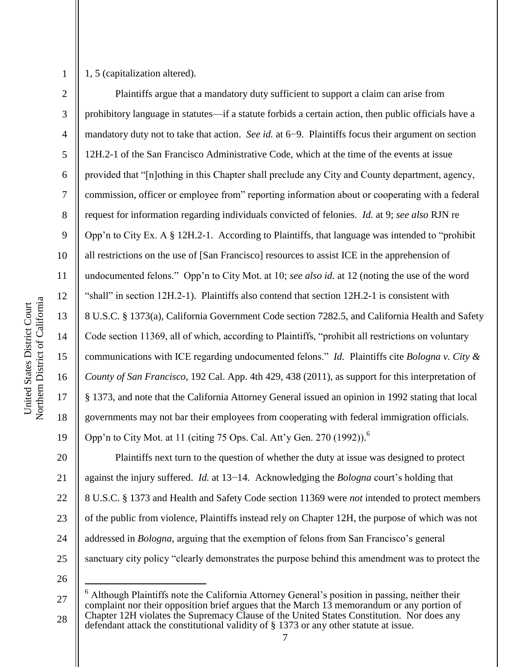3

4

5

6

7

8

9

10

11

12

13

14

15

16

17

18

19

1, 5 (capitalization altered).

Plaintiffs argue that a mandatory duty sufficient to support a claim can arise from prohibitory language in statutes—if a statute forbids a certain action, then public officials have a mandatory duty not to take that action. *See id.* at 6−9. Plaintiffs focus their argument on section 12H.2-1 of the San Francisco Administrative Code, which at the time of the events at issue provided that "[n]othing in this Chapter shall preclude any City and County department, agency, commission, officer or employee from" reporting information about or cooperating with a federal request for information regarding individuals convicted of felonies. *Id.* at 9; *see also* RJN re Opp'n to City Ex. A  $\S$  12H.2-1. According to Plaintiffs, that language was intended to "prohibit" all restrictions on the use of [San Francisco] resources to assist ICE in the apprehension of undocumented felons.‖ Opp'n to City Mot. at 10; *see also id.* at 12 (noting the use of the word "shall" in section 12H.2-1). Plaintiffs also contend that section 12H.2-1 is consistent with 8 U.S.C. § 1373(a), California Government Code section 7282.5, and California Health and Safety Code section 11369, all of which, according to Plaintiffs, "prohibit all restrictions on voluntary communications with ICE regarding undocumented felons.‖ *Id.* Plaintiffs cite *Bologna v. City & County of San Francisco*, 192 Cal. App. 4th 429, 438 (2011), as support for this interpretation of § 1373, and note that the California Attorney General issued an opinion in 1992 stating that local governments may not bar their employees from cooperating with federal immigration officials. Opp'n to City Mot. at 11 (citing 75 Ops. Cal. Att'y Gen. 270 (1992)). 6

20 21 22 23 24 25 Plaintiffs next turn to the question of whether the duty at issue was designed to protect against the injury suffered. *Id.* at 13−14. Acknowledging the *Bologna* court's holding that 8 U.S.C. § 1373 and Health and Safety Code section 11369 were *not* intended to protect members of the public from violence, Plaintiffs instead rely on Chapter 12H, the purpose of which was not addressed in *Bologna*, arguing that the exemption of felons from San Francisco's general sanctuary city policy "clearly demonstrates the purpose behind this amendment was to protect the

26

 $\overline{a}$ 

<sup>27</sup> 28 <sup>6</sup> Although Plaintiffs note the California Attorney General's position in passing, neither their complaint nor their opposition brief argues that the March 13 memorandum or any portion of Chapter 12H violates the Supremacy Clause of the United States Constitution. Nor does any defendant attack the constitutional validity of § 1373 or any other statute at issue.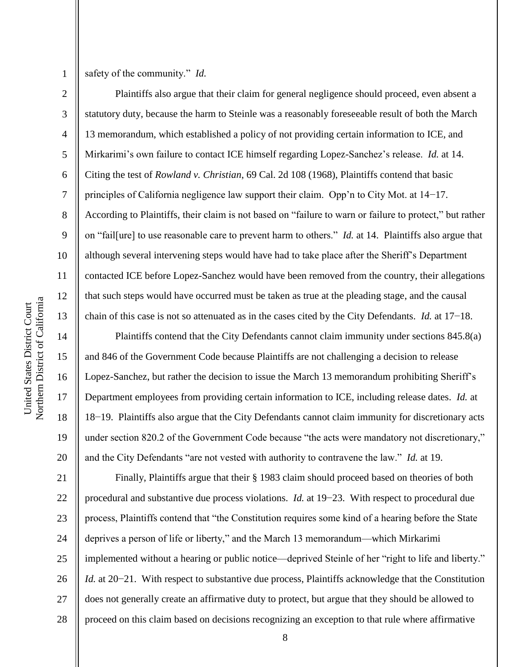3

4

5

6

7

8

9

10

11

12

13

14

15

16

17

18

19

20

safety of the community." *Id.* 

Plaintiffs also argue that their claim for general negligence should proceed, even absent a statutory duty, because the harm to Steinle was a reasonably foreseeable result of both the March 13 memorandum, which established a policy of not providing certain information to ICE, and Mirkarimi's own failure to contact ICE himself regarding Lopez-Sanchez's release. *Id.* at 14. Citing the test of *Rowland v. Christian*, 69 Cal. 2d 108 (1968), Plaintiffs contend that basic principles of California negligence law support their claim. Opp'n to City Mot. at 14−17. According to Plaintiffs, their claim is not based on "failure to warn or failure to protect," but rather on "fail[ure] to use reasonable care to prevent harm to others." *Id.* at 14. Plaintiffs also argue that although several intervening steps would have had to take place after the Sheriff's Department contacted ICE before Lopez-Sanchez would have been removed from the country, their allegations that such steps would have occurred must be taken as true at the pleading stage, and the causal chain of this case is not so attenuated as in the cases cited by the City Defendants. *Id.* at 17−18.

Plaintiffs contend that the City Defendants cannot claim immunity under sections 845.8(a) and 846 of the Government Code because Plaintiffs are not challenging a decision to release Lopez-Sanchez, but rather the decision to issue the March 13 memorandum prohibiting Sheriff's Department employees from providing certain information to ICE, including release dates. *Id.* at 18−19. Plaintiffs also argue that the City Defendants cannot claim immunity for discretionary acts under section 820.2 of the Government Code because "the acts were mandatory not discretionary," and the City Defendants "are not vested with authority to contravene the law." *Id.* at 19.

21 22 23 24 25 26 27 28 Finally, Plaintiffs argue that their § 1983 claim should proceed based on theories of both procedural and substantive due process violations. *Id.* at 19−23. With respect to procedural due process, Plaintiffs contend that "the Constitution requires some kind of a hearing before the State deprives a person of life or liberty," and the March 13 memorandum—which Mirkarimi implemented without a hearing or public notice—deprived Steinle of her "right to life and liberty." *Id.* at 20−21. With respect to substantive due process, Plaintiffs acknowledge that the Constitution does not generally create an affirmative duty to protect, but argue that they should be allowed to proceed on this claim based on decisions recognizing an exception to that rule where affirmative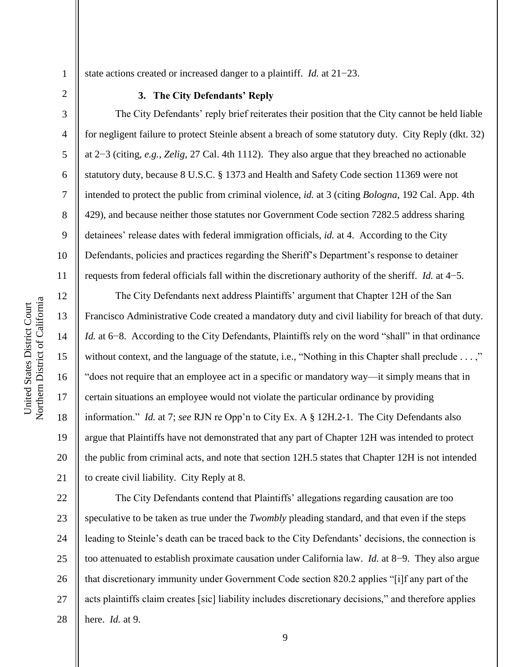3

4

5

6

7

8

9

10

11

state actions created or increased danger to a plaintiff. *Id.* at 21−23.

#### **3. The City Defendants' Reply**

The City Defendants' reply brief reiterates their position that the City cannot be held liable for negligent failure to protect Steinle absent a breach of some statutory duty. City Reply (dkt. 32) at 2−3 (citing, *e.g.*, *Zelig*, 27 Cal. 4th 1112). They also argue that they breached no actionable statutory duty, because 8 U.S.C. § 1373 and Health and Safety Code section 11369 were not intended to protect the public from criminal violence, *id.* at 3 (citing *Bologna*, 192 Cal. App. 4th 429), and because neither those statutes nor Government Code section 7282.5 address sharing detainees' release dates with federal immigration officials, *id.* at 4. According to the City Defendants, policies and practices regarding the Sheriff's Department's response to detainer requests from federal officials fall within the discretionary authority of the sheriff. *Id.* at 4−5.

12 13 14 15 16 17 18 19 20 21 The City Defendants next address Plaintiffs' argument that Chapter 12H of the San Francisco Administrative Code created a mandatory duty and civil liability for breach of that duty. *Id.* at 6−8. According to the City Defendants, Plaintiffs rely on the word "shall" in that ordinance without context, and the language of the statute, i.e., "Nothing in this Chapter shall preclude  $\dots$ ," "does not require that an employee act in a specific or mandatory way—it simply means that in certain situations an employee would not violate the particular ordinance by providing information.‖ *Id.* at 7; *see* RJN re Opp'n to City Ex. A § 12H.2-1. The City Defendants also argue that Plaintiffs have not demonstrated that any part of Chapter 12H was intended to protect the public from criminal acts, and note that section 12H.5 states that Chapter 12H is not intended to create civil liability. City Reply at 8.

22 23 24 25 26 27 28 The City Defendants contend that Plaintiffs' allegations regarding causation are too speculative to be taken as true under the *Twombly* pleading standard, and that even if the steps leading to Steinle's death can be traced back to the City Defendants' decisions, the connection is too attenuated to establish proximate causation under California law. *Id.* at 8−9. They also argue that discretionary immunity under Government Code section 820.2 applies "[i]f any part of the acts plaintiffs claim creates [sic] liability includes discretionary decisions," and therefore applies here. *Id.* at 9.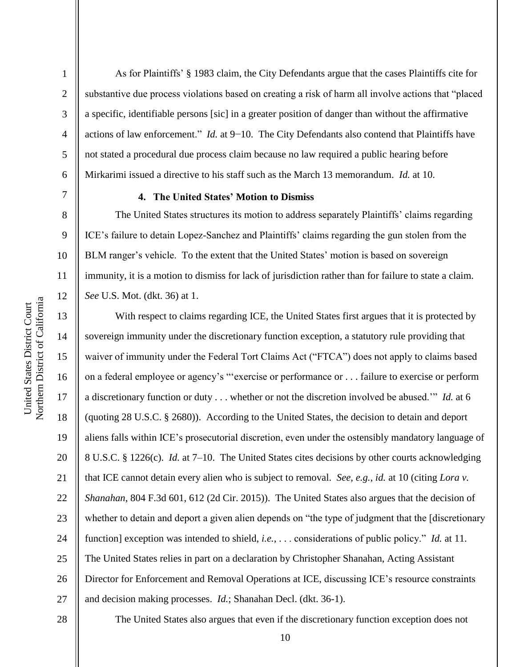2

3

4

5

6

7

8

9

10

11

12

As for Plaintiffs' § 1983 claim, the City Defendants argue that the cases Plaintiffs cite for substantive due process violations based on creating a risk of harm all involve actions that "placed" a specific, identifiable persons [sic] in a greater position of danger than without the affirmative actions of law enforcement.<sup>"</sup> *Id.* at 9−10. The City Defendants also contend that Plaintiffs have not stated a procedural due process claim because no law required a public hearing before Mirkarimi issued a directive to his staff such as the March 13 memorandum. *Id.* at 10.

## **4. The United States' Motion to Dismiss**

The United States structures its motion to address separately Plaintiffs' claims regarding ICE's failure to detain Lopez-Sanchez and Plaintiffs' claims regarding the gun stolen from the BLM ranger's vehicle. To the extent that the United States' motion is based on sovereign immunity, it is a motion to dismiss for lack of jurisdiction rather than for failure to state a claim. *See* U.S. Mot. (dkt. 36) at 1.

13 14 15 16 17 18 19 20 21 22 23 24 25 26 27 With respect to claims regarding ICE, the United States first argues that it is protected by sovereign immunity under the discretionary function exception, a statutory rule providing that waiver of immunity under the Federal Tort Claims Act ("FTCA") does not apply to claims based on a federal employee or agency's "exercise or performance or . . . failure to exercise or perform a discretionary function or duty . . . whether or not the discretion involved be abused." *Id.* at 6 (quoting 28 U.S.C. § 2680)). According to the United States, the decision to detain and deport aliens falls within ICE's prosecutorial discretion, even under the ostensibly mandatory language of 8 U.S.C. § 1226(c). *Id.* at 7–10. The United States cites decisions by other courts acknowledging that ICE cannot detain every alien who is subject to removal. *See, e.g.*, *id.* at 10 (citing *Lora v. Shanahan*, 804 F.3d 601, 612 (2d Cir. 2015)). The United States also argues that the decision of whether to detain and deport a given alien depends on "the type of judgment that the [discretionary function] exception was intended to shield, *i.e.*, . . . considerations of public policy." *Id.* at 11. The United States relies in part on a declaration by Christopher Shanahan, Acting Assistant Director for Enforcement and Removal Operations at ICE, discussing ICE's resource constraints and decision making processes. *Id.*; Shanahan Decl. (dkt. 36-1).

28

The United States also argues that even if the discretionary function exception does not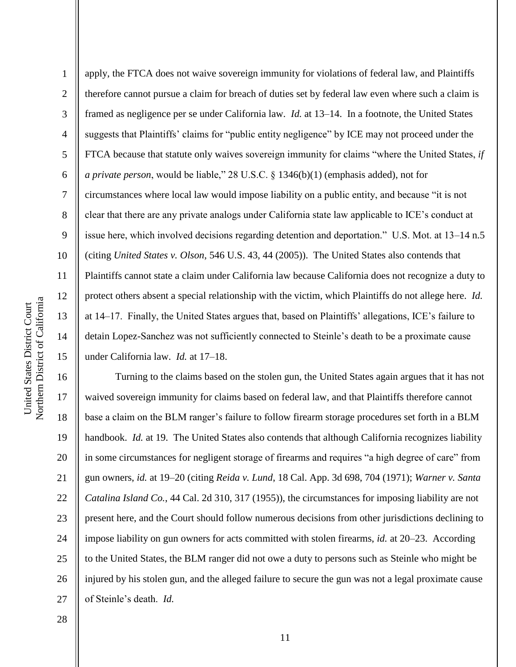2 3 4 5 6 7 8 9 10 11 12 13 14 15 apply, the FTCA does not waive sovereign immunity for violations of federal law, and Plaintiffs therefore cannot pursue a claim for breach of duties set by federal law even where such a claim is framed as negligence per se under California law. *Id.* at 13–14. In a footnote, the United States suggests that Plaintiffs' claims for "public entity negligence" by ICE may not proceed under the FTCA because that statute only waives sovereign immunity for claims "where the United States, *if a private person*, would be liable," 28 U.S.C.  $\S$  1346(b)(1) (emphasis added), not for circumstances where local law would impose liability on a public entity, and because "it is not clear that there are any private analogs under California state law applicable to ICE's conduct at issue here, which involved decisions regarding detention and deportation." U.S. Mot. at 13–14 n.5 (citing *United States v. Olson*, 546 U.S. 43, 44 (2005)). The United States also contends that Plaintiffs cannot state a claim under California law because California does not recognize a duty to protect others absent a special relationship with the victim, which Plaintiffs do not allege here. *Id.* at 14–17. Finally, the United States argues that, based on Plaintiffs' allegations, ICE's failure to detain Lopez-Sanchez was not sufficiently connected to Steinle's death to be a proximate cause under California law. *Id.* at 17–18.

16 17 18 19 20 21 22 23 24 25 26 27 Turning to the claims based on the stolen gun, the United States again argues that it has not waived sovereign immunity for claims based on federal law, and that Plaintiffs therefore cannot base a claim on the BLM ranger's failure to follow firearm storage procedures set forth in a BLM handbook. *Id.* at 19. The United States also contends that although California recognizes liability in some circumstances for negligent storage of firearms and requires "a high degree of care" from gun owners, *id.* at 19–20 (citing *Reida v. Lund*, 18 Cal. App. 3d 698, 704 (1971); *Warner v. Santa Catalina Island Co.*, 44 Cal. 2d 310, 317 (1955)), the circumstances for imposing liability are not present here, and the Court should follow numerous decisions from other jurisdictions declining to impose liability on gun owners for acts committed with stolen firearms, *id.* at 20–23. According to the United States, the BLM ranger did not owe a duty to persons such as Steinle who might be injured by his stolen gun, and the alleged failure to secure the gun was not a legal proximate cause of Steinle's death. *Id.*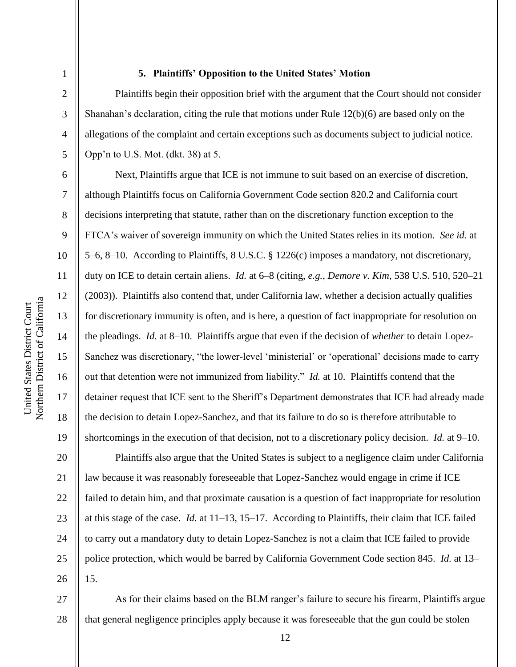2

3

4

5

6

7

8

9

10

11

12

13

14

15

16

17

18

19

#### **5. Plaintiffs' Opposition to the United States' Motion**

Plaintiffs begin their opposition brief with the argument that the Court should not consider Shanahan's declaration, citing the rule that motions under Rule 12(b)(6) are based only on the allegations of the complaint and certain exceptions such as documents subject to judicial notice. Opp'n to U.S. Mot. (dkt. 38) at 5.

Next, Plaintiffs argue that ICE is not immune to suit based on an exercise of discretion, although Plaintiffs focus on California Government Code section 820.2 and California court decisions interpreting that statute, rather than on the discretionary function exception to the FTCA's waiver of sovereign immunity on which the United States relies in its motion. *See id.* at 5–6, 8–10. According to Plaintiffs, 8 U.S.C. § 1226(c) imposes a mandatory, not discretionary, duty on ICE to detain certain aliens. *Id.* at 6–8 (citing, *e.g.*, *Demore v. Kim*, 538 U.S. 510, 520–21 (2003)). Plaintiffs also contend that, under California law, whether a decision actually qualifies for discretionary immunity is often, and is here, a question of fact inappropriate for resolution on the pleadings. *Id.* at 8–10. Plaintiffs argue that even if the decision of *whether* to detain Lopez-Sanchez was discretionary, "the lower-level 'ministerial' or 'operational' decisions made to carry out that detention were not immunized from liability." *Id.* at 10. Plaintiffs contend that the detainer request that ICE sent to the Sheriff's Department demonstrates that ICE had already made the decision to detain Lopez-Sanchez, and that its failure to do so is therefore attributable to shortcomings in the execution of that decision, not to a discretionary policy decision. *Id.* at 9–10.

20 21 22 23 24 25 26 Plaintiffs also argue that the United States is subject to a negligence claim under California law because it was reasonably foreseeable that Lopez-Sanchez would engage in crime if ICE failed to detain him, and that proximate causation is a question of fact inappropriate for resolution at this stage of the case. *Id.* at 11–13, 15–17. According to Plaintiffs, their claim that ICE failed to carry out a mandatory duty to detain Lopez-Sanchez is not a claim that ICE failed to provide police protection, which would be barred by California Government Code section 845. *Id.* at 13– 15.

27 28 As for their claims based on the BLM ranger's failure to secure his firearm, Plaintiffs argue that general negligence principles apply because it was foreseeable that the gun could be stolen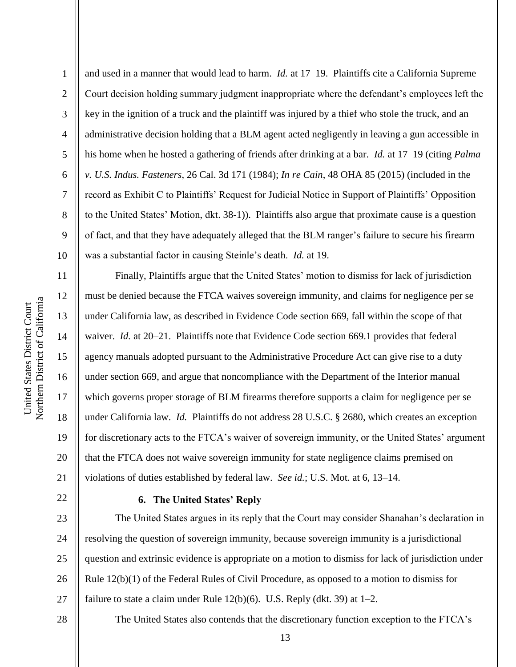2

3

4

5

8

9

6 7 10 and used in a manner that would lead to harm. *Id.* at 17–19. Plaintiffs cite a California Supreme Court decision holding summary judgment inappropriate where the defendant's employees left the key in the ignition of a truck and the plaintiff was injured by a thief who stole the truck, and an administrative decision holding that a BLM agent acted negligently in leaving a gun accessible in his home when he hosted a gathering of friends after drinking at a bar. *Id.* at 17–19 (citing *Palma v. U.S. Indus. Fasteners*, 26 Cal. 3d 171 (1984); *In re Cain*, 48 OHA 85 (2015) (included in the record as Exhibit C to Plaintiffs' Request for Judicial Notice in Support of Plaintiffs' Opposition to the United States' Motion, dkt. 38-1)). Plaintiffs also argue that proximate cause is a question of fact, and that they have adequately alleged that the BLM ranger's failure to secure his firearm was a substantial factor in causing Steinle's death. *Id.* at 19.

11 12 13 14 15 16 17 18 19 20 21 Finally, Plaintiffs argue that the United States' motion to dismiss for lack of jurisdiction must be denied because the FTCA waives sovereign immunity, and claims for negligence per se under California law, as described in Evidence Code section 669, fall within the scope of that waiver. *Id.* at 20–21. Plaintiffs note that Evidence Code section 669.1 provides that federal agency manuals adopted pursuant to the Administrative Procedure Act can give rise to a duty under section 669, and argue that noncompliance with the Department of the Interior manual which governs proper storage of BLM firearms therefore supports a claim for negligence per se under California law. *Id.* Plaintiffs do not address 28 U.S.C. § 2680, which creates an exception for discretionary acts to the FTCA's waiver of sovereign immunity, or the United States' argument that the FTCA does not waive sovereign immunity for state negligence claims premised on violations of duties established by federal law. *See id.*; U.S. Mot. at 6, 13–14.

## **6. The United States' Reply**

The United States argues in its reply that the Court may consider Shanahan's declaration in resolving the question of sovereign immunity, because sovereign immunity is a jurisdictional question and extrinsic evidence is appropriate on a motion to dismiss for lack of jurisdiction under Rule 12(b)(1) of the Federal Rules of Civil Procedure, as opposed to a motion to dismiss for failure to state a claim under Rule  $12(b)(6)$ . U.S. Reply (dkt. 39) at  $1-2$ .

28

22

23

24

25

26

27

The United States also contends that the discretionary function exception to the FTCA's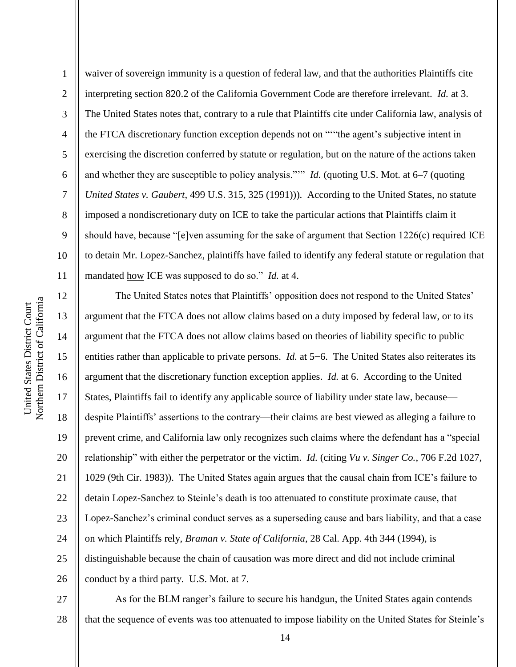1 2 3 4 5 6 7 8 9 10 11 waiver of sovereign immunity is a question of federal law, and that the authorities Plaintiffs cite interpreting section 820.2 of the California Government Code are therefore irrelevant. *Id.* at 3. The United States notes that, contrary to a rule that Plaintiffs cite under California law, analysis of the FTCA discretionary function exception depends not on """the agent's subjective intent in exercising the discretion conferred by statute or regulation, but on the nature of the actions taken and whether they are susceptible to policy analysis."" *Id.* (quoting U.S. Mot. at 6–7 (quoting *United States v. Gaubert*, 499 U.S. 315, 325 (1991))). According to the United States, no statute imposed a nondiscretionary duty on ICE to take the particular actions that Plaintiffs claim it should have, because " $[e]$ ven assuming for the sake of argument that Section 1226(c) required ICE to detain Mr. Lopez-Sanchez, plaintiffs have failed to identify any federal statute or regulation that mandated how ICE was supposed to do so." *Id.* at 4.

12 13 14 15 16 17 18 19 20 21 22 23 24 25 26 The United States notes that Plaintiffs' opposition does not respond to the United States' argument that the FTCA does not allow claims based on a duty imposed by federal law, or to its argument that the FTCA does not allow claims based on theories of liability specific to public entities rather than applicable to private persons. *Id.* at 5−6. The United States also reiterates its argument that the discretionary function exception applies. *Id.* at 6. According to the United States, Plaintiffs fail to identify any applicable source of liability under state law, because despite Plaintiffs' assertions to the contrary—their claims are best viewed as alleging a failure to prevent crime, and California law only recognizes such claims where the defendant has a "special" relationship" with either the perpetrator or the victim. *Id.* (citing *Vu v. Singer Co.*, 706 F.2d 1027, 1029 (9th Cir. 1983)). The United States again argues that the causal chain from ICE's failure to detain Lopez-Sanchez to Steinle's death is too attenuated to constitute proximate cause, that Lopez-Sanchez's criminal conduct serves as a superseding cause and bars liability, and that a case on which Plaintiffs rely, *Braman v. State of California*, 28 Cal. App. 4th 344 (1994), is distinguishable because the chain of causation was more direct and did not include criminal conduct by a third party. U.S. Mot. at 7.

27 28 As for the BLM ranger's failure to secure his handgun, the United States again contends that the sequence of events was too attenuated to impose liability on the United States for Steinle's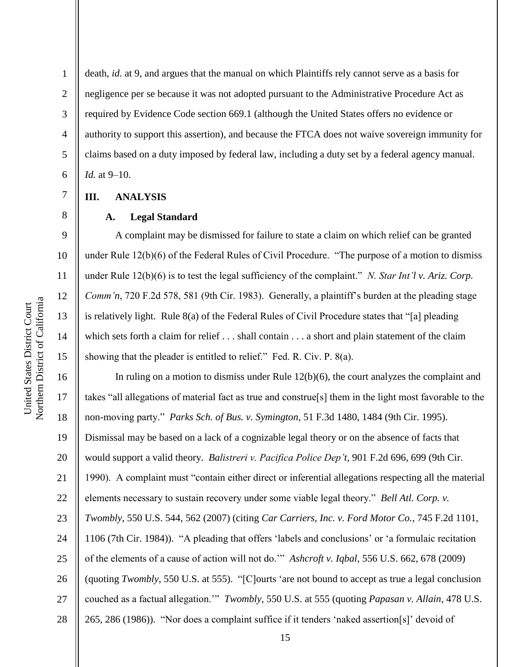10 11 12 Northern District of California Northern District of California United States District Court United States District Court 13 14 15

1

2

3

4

5

6

7

8

9

death, *id.* at 9, and argues that the manual on which Plaintiffs rely cannot serve as a basis for negligence per se because it was not adopted pursuant to the Administrative Procedure Act as required by Evidence Code section 669.1 (although the United States offers no evidence or authority to support this assertion), and because the FTCA does not waive sovereign immunity for claims based on a duty imposed by federal law, including a duty set by a federal agency manual. *Id.* at 9–10.

### **III. ANALYSIS**

#### **A. Legal Standard**

A complaint may be dismissed for failure to state a claim on which relief can be granted under Rule  $12(b)(6)$  of the Federal Rules of Civil Procedure. "The purpose of a motion to dismiss under Rule 12(b)(6) is to test the legal sufficiency of the complaint." *N. Star Int'l v. Ariz. Corp. Comm'n*, 720 F.2d 578, 581 (9th Cir. 1983). Generally, a plaintiff's burden at the pleading stage is relatively light. Rule  $8(a)$  of the Federal Rules of Civil Procedure states that "[a] pleading which sets forth a claim for relief . . . shall contain . . . a short and plain statement of the claim showing that the pleader is entitled to relief." Fed. R. Civ. P.  $8(a)$ .

16 17 18 19 20 21 22 23 24 25 26 27 28 In ruling on a motion to dismiss under Rule  $12(b)(6)$ , the court analyzes the complaint and takes "all allegations of material fact as true and construe<sup>[s]</sup> them in the light most favorable to the non-moving party.‖ *Parks Sch. of Bus. v. Symington*, 51 F.3d 1480, 1484 (9th Cir. 1995). Dismissal may be based on a lack of a cognizable legal theory or on the absence of facts that would support a valid theory. *Balistreri v. Pacifica Police Dep't*, 901 F.2d 696, 699 (9th Cir. 1990). A complaint must "contain either direct or inferential allegations respecting all the material elements necessary to sustain recovery under some viable legal theory." *Bell Atl. Corp. v. Twombly*, 550 U.S. 544, 562 (2007) (citing *Car Carriers, Inc. v. Ford Motor Co.*, 745 F.2d 1101, 1106 (7th Cir. 1984)). "A pleading that offers 'labels and conclusions' or 'a formulaic recitation of the elements of a cause of action will not do.'‖ *Ashcroft v. Iqbal*, 556 U.S. 662, 678 (2009) (quoting *Twombly*, 550 U.S. at 555). "[C]ourts 'are not bound to accept as true a legal conclusion couched as a factual allegation." *Twombly*, 550 U.S. at 555 (quoting *Papasan v. Allain*, 478 U.S. 265, 286 (1986)). "Nor does a complaint suffice if it tenders 'naked assertion[s]' devoid of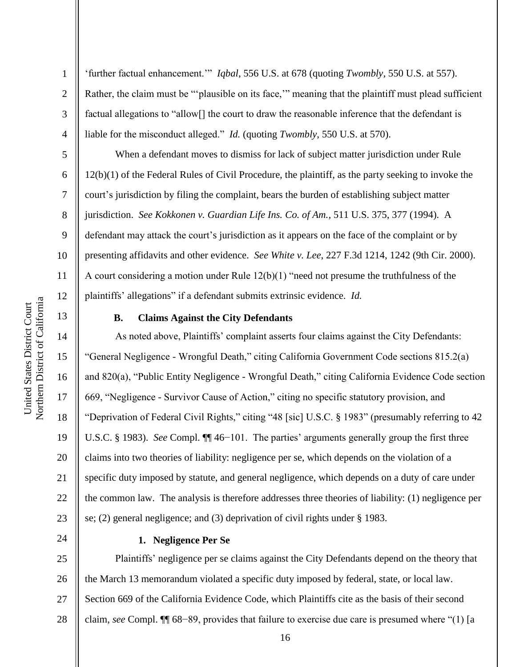‗further factual enhancement.'‖ *Iqbal*, 556 U.S. at 678 (quoting *Twombly*, 550 U.S. at 557). Rather, the claim must be "'plausible on its face," meaning that the plaintiff must plead sufficient factual allegations to "allow<sup>[]</sup> the court to draw the reasonable inference that the defendant is liable for the misconduct alleged." *Id.* (quoting *Twombly*, 550 U.S. at 570).

When a defendant moves to dismiss for lack of subject matter jurisdiction under Rule 12(b)(1) of the Federal Rules of Civil Procedure, the plaintiff, as the party seeking to invoke the court's jurisdiction by filing the complaint, bears the burden of establishing subject matter jurisdiction. *See Kokkonen v. Guardian Life Ins. Co. of Am.*, 511 U.S. 375, 377 (1994). A defendant may attack the court's jurisdiction as it appears on the face of the complaint or by presenting affidavits and other evidence. *See White v. Lee*, 227 F.3d 1214, 1242 (9th Cir. 2000). A court considering a motion under Rule  $12(b)(1)$  "need not presume the truthfulness of the plaintiffs' allegations" if a defendant submits extrinsic evidence. *Id.* 

# 13 14

15

16

17

18

19

20

21

22

23

1

2

3

4

5

6

7

8

9

10

11

12

#### **B. Claims Against the City Defendants**

As noted above, Plaintiffs' complaint asserts four claims against the City Defendants: "General Negligence - Wrongful Death," citing California Government Code sections 815.2(a) and  $820(a)$ , "Public Entity Negligence - Wrongful Death," citing California Evidence Code section 669, "Negligence - Survivor Cause of Action," citing no specific statutory provision, and "Deprivation of Federal Civil Rights," citing "48 [sic] U.S.C. § 1983" (presumably referring to 42 U.S.C. § 1983). *See* Compl. ¶¶ 46−101. The parties' arguments generally group the first three claims into two theories of liability: negligence per se, which depends on the violation of a specific duty imposed by statute, and general negligence, which depends on a duty of care under the common law. The analysis is therefore addresses three theories of liability: (1) negligence per se; (2) general negligence; and (3) deprivation of civil rights under § 1983.

24

#### **1. Negligence Per Se**

25 26 27 28 Plaintiffs' negligence per se claims against the City Defendants depend on the theory that the March 13 memorandum violated a specific duty imposed by federal, state, or local law. Section 669 of the California Evidence Code, which Plaintiffs cite as the basis of their second claim, *see* Compl. ¶¶ 68–89, provides that failure to exercise due care is presumed where "(1) [a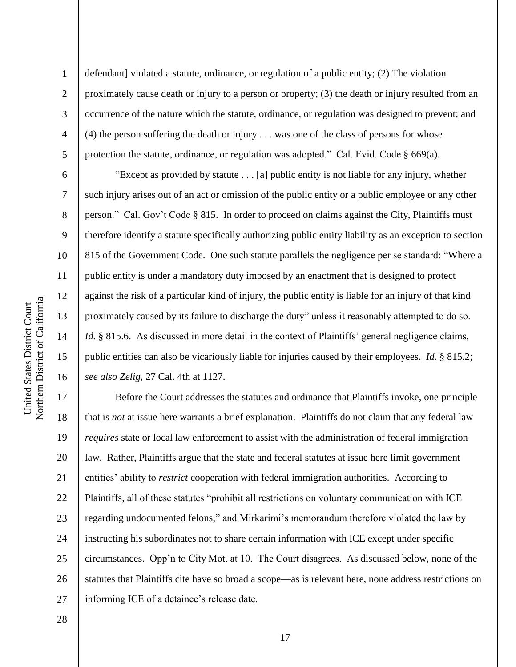2

3

4

5

6

7

8

9

10

11

12

13

14

15

16

defendant] violated a statute, ordinance, or regulation of a public entity; (2) The violation proximately cause death or injury to a person or property; (3) the death or injury resulted from an occurrence of the nature which the statute, ordinance, or regulation was designed to prevent; and (4) the person suffering the death or injury . . . was one of the class of persons for whose protection the statute, ordinance, or regulation was adopted." Cal. Evid. Code  $\S$  669(a).

―Except as provided by statute . . . [a] public entity is not liable for any injury, whether such injury arises out of an act or omission of the public entity or a public employee or any other person.‖ Cal. Gov't Code § 815. In order to proceed on claims against the City, Plaintiffs must therefore identify a statute specifically authorizing public entity liability as an exception to section 815 of the Government Code. One such statute parallels the negligence per se standard: "Where a public entity is under a mandatory duty imposed by an enactment that is designed to protect against the risk of a particular kind of injury, the public entity is liable for an injury of that kind proximately caused by its failure to discharge the duty" unless it reasonably attempted to do so. *Id.* § 815.6. As discussed in more detail in the context of Plaintiffs' general negligence claims, public entities can also be vicariously liable for injuries caused by their employees. *Id.* § 815.2; *see also Zelig*, 27 Cal. 4th at 1127.

17 18 19 20 21 22 23 24 25 26 27 Before the Court addresses the statutes and ordinance that Plaintiffs invoke, one principle that is *not* at issue here warrants a brief explanation. Plaintiffs do not claim that any federal law *requires* state or local law enforcement to assist with the administration of federal immigration law. Rather, Plaintiffs argue that the state and federal statutes at issue here limit government entities' ability to *restrict* cooperation with federal immigration authorities. According to Plaintiffs, all of these statutes "prohibit all restrictions on voluntary communication with ICE regarding undocumented felons," and Mirkarimi's memorandum therefore violated the law by instructing his subordinates not to share certain information with ICE except under specific circumstances. Opp'n to City Mot. at 10. The Court disagrees. As discussed below, none of the statutes that Plaintiffs cite have so broad a scope—as is relevant here, none address restrictions on informing ICE of a detainee's release date.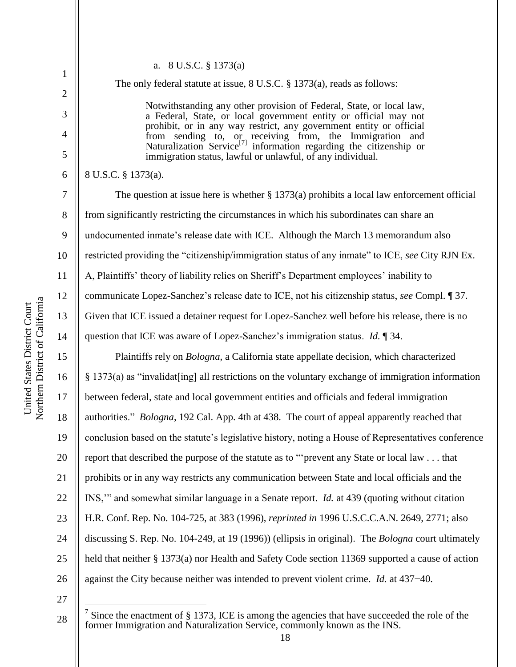2

3

4

5

6

7

8

9

10

11

12

13

14

15

16

17

18

19

20

21

22

23

24

25

26

#### a. 8 U.S.C. § 1373(a)

The only federal statute at issue, 8 U.S.C. § 1373(a), reads as follows:

Notwithstanding any other provision of Federal, State, or local law, a Federal, State, or local government entity or official may not prohibit, or in any way restrict, any government entity or official from sending to, or receiving from, the Immigration and Naturalization Service[7] information regarding the citizenship or immigration status, lawful or unlawful, of any individual.

8 U.S.C. § 1373(a).

The question at issue here is whether § 1373(a) prohibits a local law enforcement official from significantly restricting the circumstances in which his subordinates can share an undocumented inmate's release date with ICE. Although the March 13 memorandum also restricted providing the "citizenship/immigration status of any inmate" to ICE, *see* City RJN Ex. A, Plaintiffs' theory of liability relies on Sheriff's Department employees' inability to communicate Lopez-Sanchez's release date to ICE, not his citizenship status, *see* Compl. ¶ 37. Given that ICE issued a detainer request for Lopez-Sanchez well before his release, there is no question that ICE was aware of Lopez-Sanchez's immigration status. *Id.* ¶ 34.

Plaintiffs rely on *Bologna*, a California state appellate decision, which characterized  $§$  1373(a) as "invalidat[ing] all restrictions on the voluntary exchange of immigration information between federal, state and local government entities and officials and federal immigration authorities." *Bologna*, 192 Cal. App. 4th at 438. The court of appeal apparently reached that conclusion based on the statute's legislative history, noting a House of Representatives conference report that described the purpose of the statute as to "prevent any State or local law . . . that prohibits or in any way restricts any communication between State and local officials and the INS," and somewhat similar language in a Senate report. *Id.* at 439 (quoting without citation H.R. Conf. Rep. No. 104-725, at 383 (1996), *reprinted in* 1996 U.S.C.C.A.N. 2649, 2771; also discussing S. Rep. No. 104-249, at 19 (1996)) (ellipsis in original). The *Bologna* court ultimately held that neither § 1373(a) nor Health and Safety Code section 11369 supported a cause of action against the City because neither was intended to prevent violent crime. *Id.* at 437−40.

27

 $\overline{a}$ 

<sup>7</sup> Since the enactment of § 1373, ICE is among the agencies that have succeeded the role of the former Immigration and Naturalization Service, commonly known as the INS.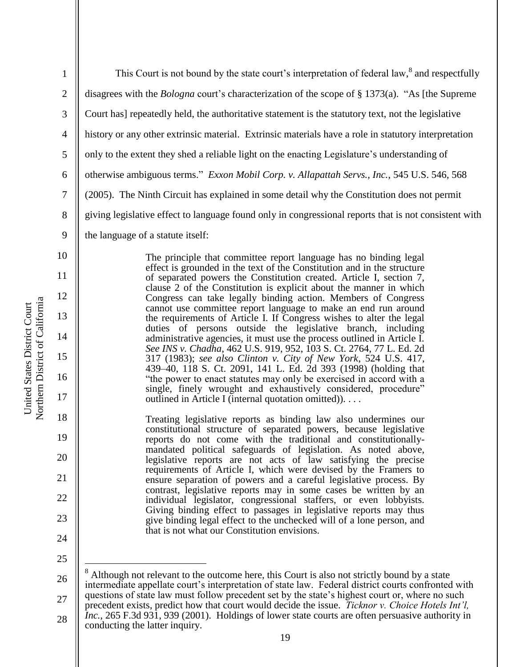| $\mathbf{1}$   | This Court is not bound by the state court's interpretation of federal law, <sup>8</sup> and respectfully                                                                                             |  |  |
|----------------|-------------------------------------------------------------------------------------------------------------------------------------------------------------------------------------------------------|--|--|
| $\mathbf{2}$   | disagrees with the <i>Bologna</i> court's characterization of the scope of § 1373(a). "As [the Supreme                                                                                                |  |  |
| $\mathfrak{Z}$ | Court has] repeatedly held, the authoritative statement is the statutory text, not the legislative                                                                                                    |  |  |
| $\overline{4}$ | history or any other extrinsic material. Extrinsic materials have a role in statutory interpretation                                                                                                  |  |  |
| $\mathfrak{S}$ | only to the extent they shed a reliable light on the enacting Legislature's understanding of                                                                                                          |  |  |
| 6              | otherwise ambiguous terms." Exxon Mobil Corp. v. Allapattah Servs., Inc., 545 U.S. 546, 568                                                                                                           |  |  |
| $\tau$         | (2005). The Ninth Circuit has explained in some detail why the Constitution does not permit                                                                                                           |  |  |
| 8              | giving legislative effect to language found only in congressional reports that is not consistent with                                                                                                 |  |  |
| 9              | the language of a statute itself:                                                                                                                                                                     |  |  |
| 10             | The principle that committee report language has no binding legal                                                                                                                                     |  |  |
| 11             | effect is grounded in the text of the Constitution and in the structure<br>of separated powers the Constitution created. Article I, section 7,                                                        |  |  |
| 12             | clause 2 of the Constitution is explicit about the manner in which<br>Congress can take legally binding action. Members of Congress                                                                   |  |  |
| 13             | cannot use committee report language to make an end run around<br>the requirements of Article I. If Congress wishes to alter the legal<br>duties of persons outside the legislative branch, including |  |  |
| 14             | administrative agencies, it must use the process outlined in Article I.<br>See INS v. Chadha, 462 U.S. 919, 952, 103 S. Ct. 2764, 77 L. Ed. 2d                                                        |  |  |
| 15             | 317 (1983); see also Clinton v. City of New York, 524 U.S. 417,<br>439–40, 118 S. Ct. 2091, 141 L. Ed. 2d 393 (1998) (holding that                                                                    |  |  |
| 16             | "the power to enact statutes may only be exercised in accord with a<br>single, finely wrought and exhaustively considered, procedure"                                                                 |  |  |
| 17             | outlined in Article I (internal quotation omitted)).                                                                                                                                                  |  |  |
| 18             | Treating legislative reports as binding law also undermines our<br>constitutional structure of separated powers, because legislative                                                                  |  |  |
| 19             | reports do not come with the traditional and constitutionally-<br>mandated political safeguards of legislation. As noted above,                                                                       |  |  |
| 20             | legislative reports are not acts of law satisfying the precise<br>requirements of Article I, which were devised by the Framers to                                                                     |  |  |
| 21             | ensure separation of powers and a careful legislative process. By<br>contrast, legislative reports may in some cases be written by an                                                                 |  |  |
| 22             | individual legislator, congressional staffers, or even lobbyists.<br>Giving binding effect to passages in legislative reports may thus                                                                |  |  |
| 23             | give binding legal effect to the unchecked will of a lone person, and<br>that is not what our Constitution envisions.                                                                                 |  |  |
| 24             |                                                                                                                                                                                                       |  |  |
| 25             | Although not relevant to the outcome here, this Court is also not strictly bound by a state                                                                                                           |  |  |
| 26             |                                                                                                                                                                                                       |  |  |

Northern District of California Northern District of California United States District Court United States District Court

conducting the latter inquiry.

27

intermediate appellate court's interpretation of state law. Federal district courts confronted with questions of state law must follow precedent set by the state's highest court or, where no such precedent exists, predict how that court would decide the issue. *Ticknor v. Choice Hotels Int'l, Inc.*, 265 F.3d 931, 939 (2001). Holdings of lower state courts are often persuasive authority in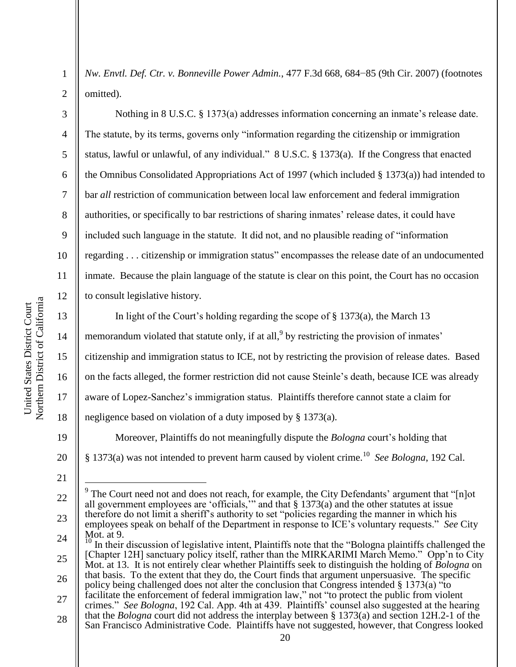*Nw. Envtl. Def. Ctr. v. Bonneville Power Admin.*, 477 F.3d 668, 684−85 (9th Cir. 2007) (footnotes omitted).

Nothing in 8 U.S.C. § 1373(a) addresses information concerning an inmate's release date. The statute, by its terms, governs only "information regarding the citizenship or immigration status, lawful or unlawful, of any individual." 8 U.S.C. § 1373(a). If the Congress that enacted the Omnibus Consolidated Appropriations Act of 1997 (which included § 1373(a)) had intended to bar *all* restriction of communication between local law enforcement and federal immigration authorities, or specifically to bar restrictions of sharing inmates' release dates, it could have included such language in the statute. It did not, and no plausible reading of "information" regarding . . . citizenship or immigration status" encompasses the release date of an undocumented inmate. Because the plain language of the statute is clear on this point, the Court has no occasion to consult legislative history.

In light of the Court's holding regarding the scope of § 1373(a), the March 13 memorandum violated that statute only, if at all,  $9$  by restricting the provision of inmates' citizenship and immigration status to ICE, not by restricting the provision of release dates. Based on the facts alleged, the former restriction did not cause Steinle's death, because ICE was already aware of Lopez-Sanchez's immigration status. Plaintiffs therefore cannot state a claim for negligence based on violation of a duty imposed by § 1373(a).

Moreover, Plaintiffs do not meaningfully dispute the *Bologna* court's holding that § 1373(a) was not intended to prevent harm caused by violent crime.<sup>10</sup> See Bologna, 192 Cal.

21

 $\overline{a}$ 

1

2

3

4

5

6

7

8

9

10

11

12

13

14

15

16

17

18

19

20

24 25 26 27  $\frac{10}{10}$  In their discussion of legislative intent, Plaintiffs note that the "Bologna plaintiffs challenged the [Chapter 12H] sanctuary policy itself, rather than the MIRKARIMI March Memo." Opp'n to City Mot. at 13. It is not entirely clear whether Plaintiffs seek to distinguish the holding of *Bologna* on that basis. To the extent that they do, the Court finds that argument unpersuasive. The specific policy being challenged does not alter the conclusion that Congress intended  $§$  1373(a) "to facilitate the enforcement of federal immigration law," not "to protect the public from violent crimes.‖ *See Bologna*, 192 Cal. App. 4th at 439. Plaintiffs' counsel also suggested at the hearing

<sup>22</sup> 23 <sup>9</sup> The Court need not and does not reach, for example, the City Defendants' argument that "[n]ot all government employees are 'officials,'" and that  $\S 1373(a)$  and the other statutes at issue therefore do not limit a sheriff's authority to set "policies regarding the manner in which his employees speak on behalf of the Department in response to ICE's voluntary requests." See City Mot. at 9.

<sup>28</sup> that the *Bologna* court did not address the interplay between § 1373(a) and section 12H.2-1 of the San Francisco Administrative Code. Plaintiffs have not suggested, however, that Congress looked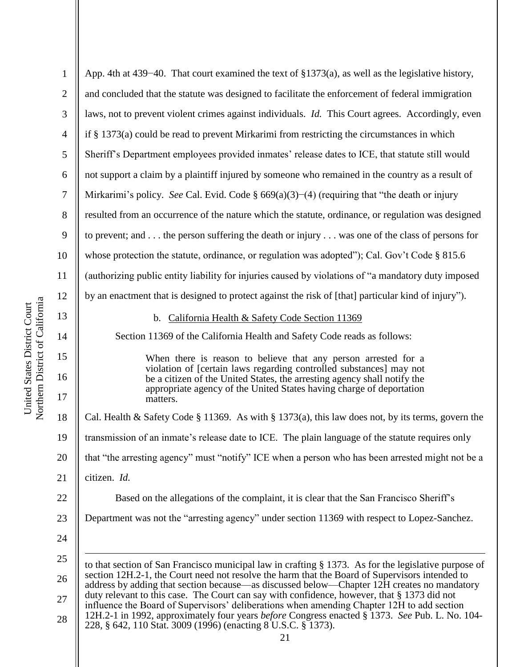| 1              | App. 4th at 439–40. That court examined the text of $\S 1373(a)$ , as well as the legislative history,                                                                                       |  |  |
|----------------|----------------------------------------------------------------------------------------------------------------------------------------------------------------------------------------------|--|--|
| $\overline{2}$ | and concluded that the statute was designed to facilitate the enforcement of federal immigration                                                                                             |  |  |
| 3              | laws, not to prevent violent crimes against individuals. <i>Id.</i> This Court agrees. Accordingly, even                                                                                     |  |  |
| $\overline{4}$ | if $\S$ 1373(a) could be read to prevent Mirkarimi from restricting the circumstances in which                                                                                               |  |  |
| 5              | Sheriff's Department employees provided inmates' release dates to ICE, that statute still would                                                                                              |  |  |
| 6              | not support a claim by a plaintiff injured by someone who remained in the country as a result of                                                                                             |  |  |
| 7              | Mirkarimi's policy. See Cal. Evid. Code $\S 669(a)(3)$ –(4) (requiring that "the death or injury                                                                                             |  |  |
| 8              | resulted from an occurrence of the nature which the statute, ordinance, or regulation was designed                                                                                           |  |  |
| 9              | to prevent; and  the person suffering the death or injury $\dots$ was one of the class of persons for                                                                                        |  |  |
| 10             | whose protection the statute, ordinance, or regulation was adopted"); Cal. Gov't Code § 815.6                                                                                                |  |  |
| 11             | (authorizing public entity liability for injuries caused by violations of "a mandatory duty imposed                                                                                          |  |  |
| 12             | by an enactment that is designed to protect against the risk of [that] particular kind of injury").                                                                                          |  |  |
| 13             | b. California Health & Safety Code Section 11369                                                                                                                                             |  |  |
| 14             | Section 11369 of the California Health and Safety Code reads as follows:                                                                                                                     |  |  |
| 15             | When there is reason to believe that any person arrested for a                                                                                                                               |  |  |
| 16             | violation of [certain laws regarding controlled substances] may not<br>be a citizen of the United States, the arresting agency shall notify the                                              |  |  |
| 17             | appropriate agency of the United States having charge of deportation<br>matters.                                                                                                             |  |  |
| 18             | Cal. Health & Safety Code § 11369. As with § 1373(a), this law does not, by its terms, govern the                                                                                            |  |  |
| 19             | transmission of an inmate's release date to ICE. The plain language of the statute requires only                                                                                             |  |  |
| 20             | that "the arresting agency" must "notify" ICE when a person who has been arrested might not be a                                                                                             |  |  |
| 21             | citizen. Id.                                                                                                                                                                                 |  |  |
| 22             | Based on the allegations of the complaint, it is clear that the San Francisco Sheriff's                                                                                                      |  |  |
| 23             | Department was not the "arresting agency" under section 11369 with respect to Lopez-Sanchez.                                                                                                 |  |  |
| 24             |                                                                                                                                                                                              |  |  |
| 25             | to that section of San Francisco municipal law in crafting § 1373. As for the legislative purpose of                                                                                         |  |  |
| 26             | section 12H.2-1, the Court need not resolve the harm that the Board of Supervisors intended to<br>address by adding that section because—as discussed below—Chapter 12H creates no mandatory |  |  |
| 27             | duty relevant to this case. The Court can say with confidence, however, that § 1373 did not<br>influence the Board of Supervisors' deliberations when amending Chapter 12H to add section    |  |  |
| 28             | 12H.2-1 in 1992, approximately four years before Congress enacted § 1373. See Pub. L. No. 104-<br>228, § 642, 110 Stat. 3009 (1996) (enacting 8 U.S.C. § 1373).                              |  |  |
|                | 21                                                                                                                                                                                           |  |  |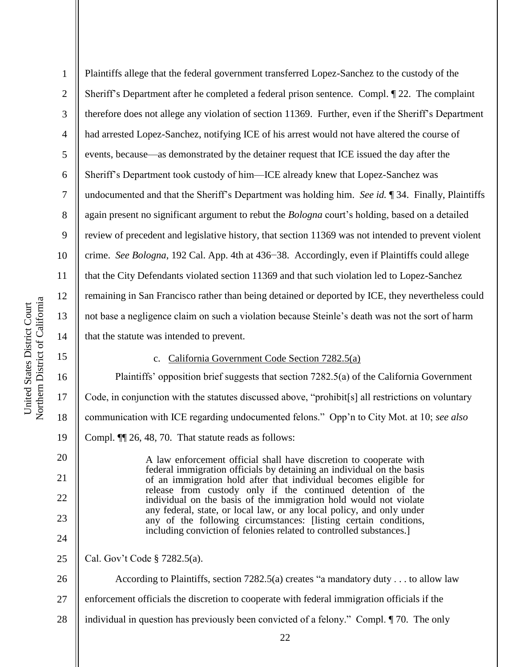16

17

18

19

20

21

22

23

24

1 2 3 4 5 6 7 8 9 10 11 12 13 14 Plaintiffs allege that the federal government transferred Lopez-Sanchez to the custody of the Sheriff's Department after he completed a federal prison sentence. Compl. ¶ 22. The complaint therefore does not allege any violation of section 11369. Further, even if the Sheriff's Department had arrested Lopez-Sanchez, notifying ICE of his arrest would not have altered the course of events, because—as demonstrated by the detainer request that ICE issued the day after the Sheriff's Department took custody of him—ICE already knew that Lopez-Sanchez was undocumented and that the Sheriff's Department was holding him. *See id.* ¶ 34. Finally, Plaintiffs again present no significant argument to rebut the *Bologna* court's holding, based on a detailed review of precedent and legislative history, that section 11369 was not intended to prevent violent crime. *See Bologna*, 192 Cal. App. 4th at 436−38. Accordingly, even if Plaintiffs could allege that the City Defendants violated section 11369 and that such violation led to Lopez-Sanchez remaining in San Francisco rather than being detained or deported by ICE, they nevertheless could not base a negligence claim on such a violation because Steinle's death was not the sort of harm that the statute was intended to prevent.

#### c. California Government Code Section 7282.5(a)

Plaintiffs' opposition brief suggests that section 7282.5(a) of the California Government Code, in conjunction with the statutes discussed above, "prohibit[s] all restrictions on voluntary communication with ICE regarding undocumented felons.‖ Opp'n to City Mot. at 10; *see also* Compl. ¶¶ 26, 48, 70. That statute reads as follows:

A law enforcement official shall have discretion to cooperate with federal immigration officials by detaining an individual on the basis of an immigration hold after that individual becomes eligible for release from custody only if the continued detention of the individual on the basis of the immigration hold would not violate any federal, state, or local law, or any local policy, and only under any of the following circumstances: [listing certain conditions, including conviction of felonies related to controlled substances.]

25 Cal. Gov't Code § 7282.5(a).

26 27 28 According to Plaintiffs, section  $7282.5(a)$  creates "a mandatory duty . . . to allow law enforcement officials the discretion to cooperate with federal immigration officials if the individual in question has previously been convicted of a felony." Compl.  $\P$  70. The only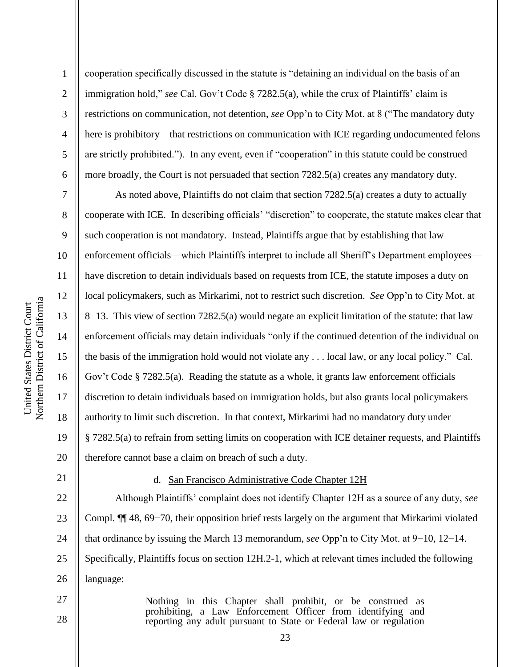2

3

4

5

6

7

8

9

10

11

12

13

14

15

16

17

18

19

20

cooperation specifically discussed in the statute is "detaining an individual on the basis of an immigration hold," *see* Cal. Gov't Code § 7282.5(a), while the crux of Plaintiffs' claim is restrictions on communication, not detention, *see* Opp'n to City Mot. at 8 ("The mandatory duty here is prohibitory—that restrictions on communication with ICE regarding undocumented felons are strictly prohibited."). In any event, even if "cooperation" in this statute could be construed more broadly, the Court is not persuaded that section 7282.5(a) creates any mandatory duty.

As noted above, Plaintiffs do not claim that section 7282.5(a) creates a duty to actually cooperate with ICE. In describing officials' "discretion" to cooperate, the statute makes clear that such cooperation is not mandatory. Instead, Plaintiffs argue that by establishing that law enforcement officials—which Plaintiffs interpret to include all Sheriff's Department employees have discretion to detain individuals based on requests from ICE, the statute imposes a duty on local policymakers, such as Mirkarimi, not to restrict such discretion. *See* Opp'n to City Mot. at 8−13. This view of section 7282.5(a) would negate an explicit limitation of the statute: that law enforcement officials may detain individuals "only if the continued detention of the individual on the basis of the immigration hold would not violate any  $\dots$  local law, or any local policy." Cal. Gov't Code § 7282.5(a). Reading the statute as a whole, it grants law enforcement officials discretion to detain individuals based on immigration holds, but also grants local policymakers authority to limit such discretion. In that context, Mirkarimi had no mandatory duty under § 7282.5(a) to refrain from setting limits on cooperation with ICE detainer requests, and Plaintiffs therefore cannot base a claim on breach of such a duty.

21 22

27

28

### d. San Francisco Administrative Code Chapter 12H

23 24 25 26 Although Plaintiffs' complaint does not identify Chapter 12H as a source of any duty, *see*  Compl. ¶¶ 48, 69−70, their opposition brief rests largely on the argument that Mirkarimi violated that ordinance by issuing the March 13 memorandum, *see* Opp'n to City Mot. at 9−10, 12−14. Specifically, Plaintiffs focus on section 12H.2-1, which at relevant times included the following language:

> Nothing in this Chapter shall prohibit, or be construed as prohibiting, a Law Enforcement Officer from identifying and reporting any adult pursuant to State or Federal law or regulation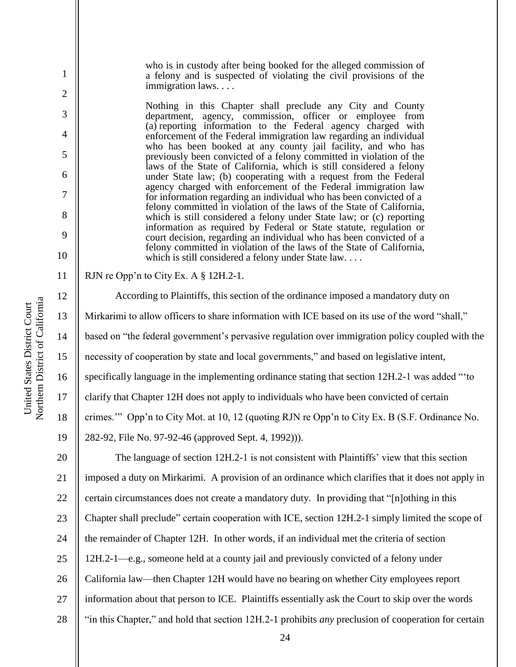who is in custody after being booked for the alleged commission of a felony and is suspected of violating the civil provisions of the immigration laws. . . .

Nothing in this Chapter shall preclude any City and County department, agency, commission, officer or employee from (a) reporting information to the Federal agency charged with enforcement of the Federal immigration law regarding an individual who has been booked at any county jail facility, and who has previously been convicted of a felony committed in violation of the laws of the State of California, which is still considered a felony under State law; (b) cooperating with a request from the Federal agency charged with enforcement of the Federal immigration law for information regarding an individual who has been convicted of a felony committed in violation of the laws of the State of California, which is still considered a felony under State law; or (c) reporting information as required by Federal or State statute, regulation or court decision, regarding an individual who has been convicted of a felony committed in violation of the laws of the State of California, which is still considered a felony under State law. . . .

RJN re Opp'n to City Ex. A § 12H.2-1.

According to Plaintiffs, this section of the ordinance imposed a mandatory duty on Mirkarimi to allow officers to share information with ICE based on its use of the word "shall," based on "the federal government's pervasive regulation over immigration policy coupled with the necessity of cooperation by state and local governments," and based on legislative intent, specifically language in the implementing ordinance stating that section  $12H.2-1$  was added "to clarify that Chapter 12H does not apply to individuals who have been convicted of certain crimes." Opp'n to City Mot. at 10, 12 (quoting RJN re Opp'n to City Ex. B (S.F. Ordinance No. 282-92, File No. 97-92-46 (approved Sept. 4, 1992))). The language of section 12H.2-1 is not consistent with Plaintiffs' view that this section imposed a duty on Mirkarimi. A provision of an ordinance which clarifies that it does not apply in

22 certain circumstances does not create a mandatory duty. In providing that "[n]othing in this

23 Chapter shall preclude" certain cooperation with ICE, section 12H.2-1 simply limited the scope of

24 the remainder of Chapter 12H. In other words, if an individual met the criteria of section

25 12H.2-1—e.g., someone held at a county jail and previously convicted of a felony under

26 California law—then Chapter 12H would have no bearing on whether City employees report

27 information about that person to ICE. Plaintiffs essentially ask the Court to skip over the words

28 ―in this Chapter,‖ and hold that section 12H.2-1 prohibits *any* preclusion of cooperation for certain

1

2

3

4

5

6

7

8

9

10

11

12

13

14

15

16

17

18

19

20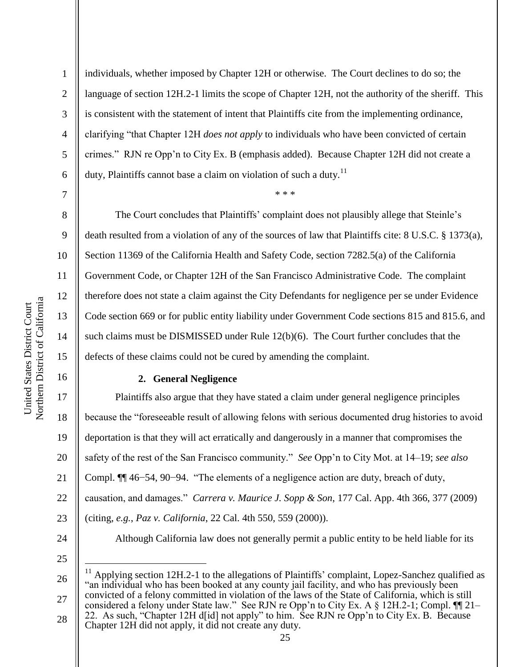individuals, whether imposed by Chapter 12H or otherwise. The Court declines to do so; the language of section 12H.2-1 limits the scope of Chapter 12H, not the authority of the sheriff. This is consistent with the statement of intent that Plaintiffs cite from the implementing ordinance, clarifying "that Chapter 12H *does not apply* to individuals who have been convicted of certain crimes.‖ RJN re Opp'n to City Ex. B (emphasis added). Because Chapter 12H did not create a duty, Plaintiffs cannot base a claim on violation of such a duty.<sup>11</sup>

\* \* \*

7

8

9

10

11

12

13

14

15

16

17

18

19

20

21

22

23

1

2

3

4

5

6

The Court concludes that Plaintiffs' complaint does not plausibly allege that Steinle's death resulted from a violation of any of the sources of law that Plaintiffs cite: 8 U.S.C. § 1373(a), Section 11369 of the California Health and Safety Code, section 7282.5(a) of the California Government Code, or Chapter 12H of the San Francisco Administrative Code. The complaint therefore does not state a claim against the City Defendants for negligence per se under Evidence Code section 669 or for public entity liability under Government Code sections 815 and 815.6, and such claims must be DISMISSED under Rule 12(b)(6). The Court further concludes that the defects of these claims could not be cured by amending the complaint.

## **2. General Negligence**

Plaintiffs also argue that they have stated a claim under general negligence principles because the "foreseeable result of allowing felons with serious documented drug histories to avoid deportation is that they will act erratically and dangerously in a manner that compromises the safety of the rest of the San Francisco community.‖ *See* Opp'n to City Mot. at 14–19; *see also* Compl. ¶ 46–54, 90–94. "The elements of a negligence action are duty, breach of duty, causation, and damages.‖ *Carrera v. Maurice J. Sopp & Son*, 177 Cal. App. 4th 366, 377 (2009) (citing, *e.g.*, *Paz v. California*, 22 Cal. 4th 550, 559 (2000)). Although California law does not generally permit a public entity to be held liable for its

24 25

 $\overline{a}$ 

26 27  $11$  Applying section 12H.2-1 to the allegations of Plaintiffs' complaint, Lopez-Sanchez qualified as "an individual who has been booked at any county jail facility, and who has previously been convicted of a felony committed in violation of the laws of the State of California, which is still

28 considered a felony under State law." See RJN re Opp'n to City Ex. A § 12H.2-1; Compl. ¶ 21– 22. As such, "Chapter 12H d[id] not apply" to him. See RJN re Opp'n to City Ex. B. Because Chapter 12H did not apply, it did not create any duty.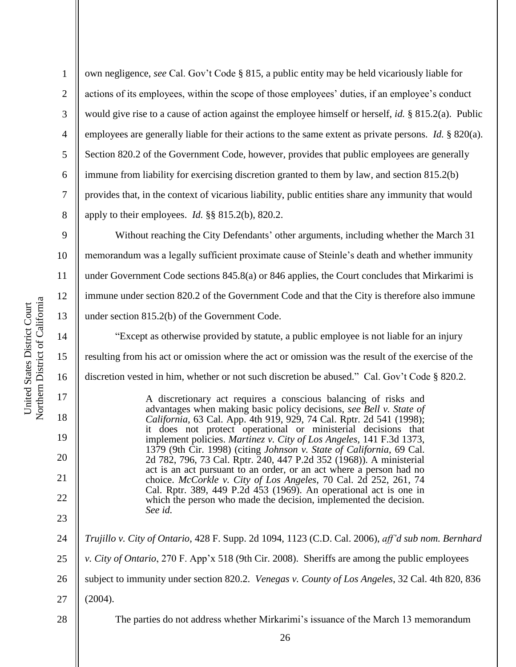own negligence, *see* Cal. Gov't Code § 815, a public entity may be held vicariously liable for actions of its employees, within the scope of those employees' duties, if an employee's conduct would give rise to a cause of action against the employee himself or herself, *id.* § 815.2(a). Public employees are generally liable for their actions to the same extent as private persons. *Id.* § 820(a). Section 820.2 of the Government Code, however, provides that public employees are generally immune from liability for exercising discretion granted to them by law, and section 815.2(b) provides that, in the context of vicarious liability, public entities share any immunity that would apply to their employees. *Id.* §§ 815.2(b), 820.2.

9 10 11 12 13 Without reaching the City Defendants' other arguments, including whether the March 31 memorandum was a legally sufficient proximate cause of Steinle's death and whether immunity under Government Code sections 845.8(a) or 846 applies, the Court concludes that Mirkarimi is immune under section 820.2 of the Government Code and that the City is therefore also immune under section 815.2(b) of the Government Code.

―Except as otherwise provided by statute, a public employee is not liable for an injury resulting from his act or omission where the act or omission was the result of the exercise of the discretion vested in him, whether or not such discretion be abused." Cal. Gov't Code § 820.2.

> A discretionary act requires a conscious balancing of risks and advantages when making basic policy decisions, *see Bell v. State of California,* 63 Cal. App. 4th 919, 929, 74 Cal. Rptr. 2d 541 (1998); it does not protect operational or ministerial decisions that implement policies. *Martinez v. City of Los Angeles,* 141 F.3d 1373, 1379 (9th Cir. 1998) (citing *Johnson v. State of California,* 69 Cal. 2d 782, 796, 73 Cal. Rptr. 240, 447 P.2d 352 (1968)). A ministerial act is an act pursuant to an order, or an act where a person had no choice. *McCorkle v. City of Los Angeles*, 70 Cal. 2d 252, 261, 74 Cal. Rptr. 389, 449 P.2d 453 (1969). An operational act is one in which the person who made the decision, implemented the decision. *See id.*

24 25 26 27 28 *Trujillo v. City of Ontario*, 428 F. Supp. 2d 1094, 1123 (C.D. Cal. 2006), *aff'd sub nom. Bernhard v. City of Ontario*, 270 F. App'x 518 (9th Cir. 2008). Sheriffs are among the public employees subject to immunity under section 820.2. *Venegas v. County of Los Angeles*, 32 Cal. 4th 820, 836 (2004). The parties do not address whether Mirkarimi's issuance of the March 13 memorandum

1

2

3

4

5

6

7

8

14

15

16

17

18

19

20

21

22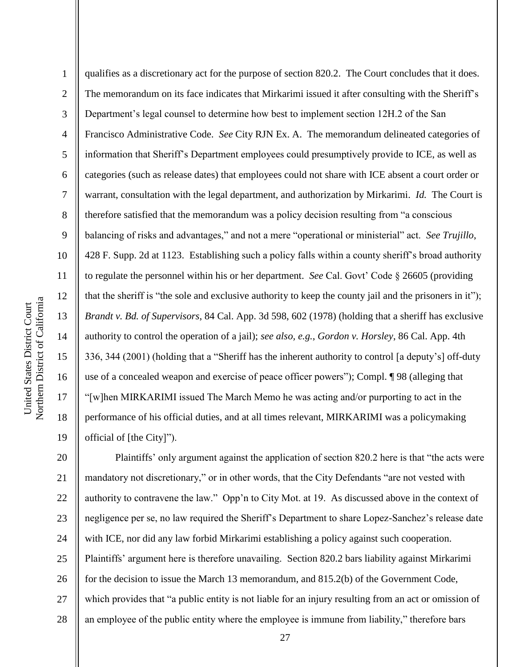2 3 4 5 6 7 8 9 10 11 12 13 14 15 16 17 18 19 qualifies as a discretionary act for the purpose of section 820.2. The Court concludes that it does. The memorandum on its face indicates that Mirkarimi issued it after consulting with the Sheriff's Department's legal counsel to determine how best to implement section 12H.2 of the San Francisco Administrative Code. *See* City RJN Ex. A. The memorandum delineated categories of information that Sheriff's Department employees could presumptively provide to ICE, as well as categories (such as release dates) that employees could not share with ICE absent a court order or warrant, consultation with the legal department, and authorization by Mirkarimi. *Id.* The Court is therefore satisfied that the memorandum was a policy decision resulting from "a conscious" balancing of risks and advantages," and not a mere "operational or ministerial" act. *See Trujillo*, 428 F. Supp. 2d at 1123. Establishing such a policy falls within a county sheriff's broad authority to regulate the personnel within his or her department. *See* Cal. Govt' Code § 26605 (providing that the sheriff is "the sole and exclusive authority to keep the county jail and the prisoners in it"); *Brandt v. Bd. of Supervisors*, 84 Cal. App. 3d 598, 602 (1978) (holding that a sheriff has exclusive authority to control the operation of a jail); *see also, e.g.*, *Gordon v. Horsley*, 86 Cal. App. 4th 336, 344 (2001) (holding that a "Sheriff has the inherent authority to control [a deputy's] off-duty use of a concealed weapon and exercise of peace officer powers"); Compl.  $\P$ 98 (alleging that ―[w]hen MIRKARIMI issued The March Memo he was acting and/or purporting to act in the performance of his official duties, and at all times relevant, MIRKARIMI was a policymaking official of [the City]").

20 21 22 23 24 25 26 27 28 Plaintiffs' only argument against the application of section 820.2 here is that "the acts were mandatory not discretionary," or in other words, that the City Defendants "are not vested with authority to contravene the law." Opp'n to City Mot. at 19. As discussed above in the context of negligence per se, no law required the Sheriff's Department to share Lopez-Sanchez's release date with ICE, nor did any law forbid Mirkarimi establishing a policy against such cooperation. Plaintiffs' argument here is therefore unavailing. Section 820.2 bars liability against Mirkarimi for the decision to issue the March 13 memorandum, and 815.2(b) of the Government Code, which provides that "a public entity is not liable for an injury resulting from an act or omission of an employee of the public entity where the employee is immune from liability," therefore bars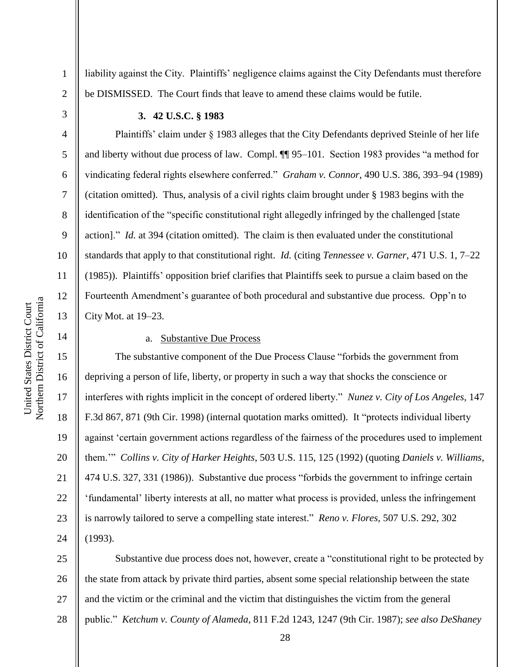3

4

5

6

7

8

9

10

11

12

13

14

15

16

17

18

19

20

21

22

23

24

1

#### **3. 42 U.S.C. § 1983**

Plaintiffs' claim under § 1983 alleges that the City Defendants deprived Steinle of her life and liberty without due process of law. Compl.  $\P\P$  95–101. Section 1983 provides "a method for vindicating federal rights elsewhere conferred.‖ *Graham v. Connor*, 490 U.S. 386, 393–94 (1989) (citation omitted). Thus, analysis of a civil rights claim brought under § 1983 begins with the identification of the "specific constitutional right allegedly infringed by the challenged [state] action]." *Id.* at 394 (citation omitted). The claim is then evaluated under the constitutional standards that apply to that constitutional right. *Id.* (citing *Tennessee v. Garner*, 471 U.S. 1, 7–22 (1985)). Plaintiffs' opposition brief clarifies that Plaintiffs seek to pursue a claim based on the Fourteenth Amendment's guarantee of both procedural and substantive due process. Opp'n to City Mot. at 19–23.

liability against the City. Plaintiffs' negligence claims against the City Defendants must therefore

be DISMISSED. The Court finds that leave to amend these claims would be futile.

## a. Substantive Due Process

The substantive component of the Due Process Clause "forbids the government from depriving a person of life, liberty, or property in such a way that shocks the conscience or interferes with rights implicit in the concept of ordered liberty." *Nunez v. City of Los Angeles*, 147 F.3d 867, 871 (9th Cir. 1998) (internal quotation marks omitted). It "protects individual liberty against ‗certain government actions regardless of the fairness of the procedures used to implement them.'‖ *Collins v. City of Harker Heights*, 503 U.S. 115, 125 (1992) (quoting *Daniels v. Williams*, 474 U.S. 327, 331 (1986)). Substantive due process "forbids the government to infringe certain ‗fundamental' liberty interests at all, no matter what process is provided, unless the infringement is narrowly tailored to serve a compelling state interest." *Reno v. Flores*, 507 U.S. 292, 302 (1993).

25 26 27 28 Substantive due process does not, however, create a "constitutional right to be protected by the state from attack by private third parties, absent some special relationship between the state and the victim or the criminal and the victim that distinguishes the victim from the general public.‖ *Ketchum v. County of Alameda*, 811 F.2d 1243, 1247 (9th Cir. 1987); *see also DeShaney*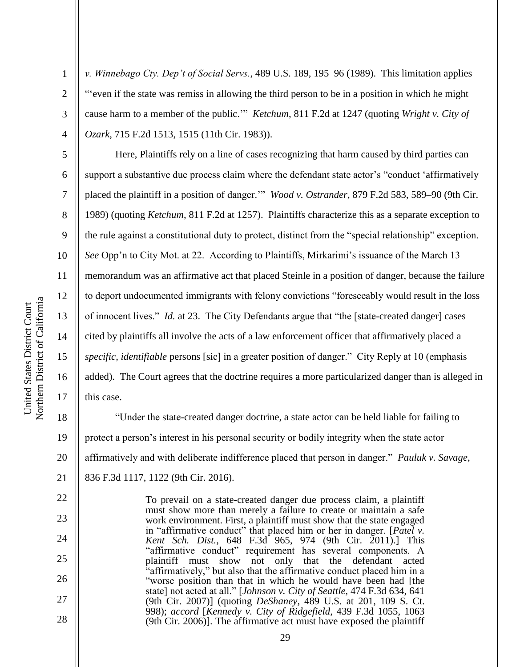2

3

4

5

6

7

8

9

10

11

12

13

14

15

16

17

22

23

24

25

26

27

28

*v. Winnebago Cty. Dep't of Social Servs.*, 489 U.S. 189, 195–96 (1989). This limitation applies ―‗even if the state was remiss in allowing the third person to be in a position in which he might cause harm to a member of the public."" *Ketchum*, 811 F.2d at 1247 (quoting *Wright v. City of Ozark*, 715 F.2d 1513, 1515 (11th Cir. 1983)).

Here, Plaintiffs rely on a line of cases recognizing that harm caused by third parties can support a substantive due process claim where the defendant state actor's "conduct 'affirmatively placed the plaintiff in a position of danger." *Wood v. Ostrander*, 879 F.2d 583, 589–90 (9th Cir. 1989) (quoting *Ketchum*, 811 F.2d at 1257). Plaintiffs characterize this as a separate exception to the rule against a constitutional duty to protect, distinct from the "special relationship" exception. *See* Opp'n to City Mot. at 22. According to Plaintiffs, Mirkarimi's issuance of the March 13 memorandum was an affirmative act that placed Steinle in a position of danger, because the failure to deport undocumented immigrants with felony convictions "foreseeably would result in the loss of innocent lives." *Id.* at 23. The City Defendants argue that "the [state-created danger] cases cited by plaintiffs all involve the acts of a law enforcement officer that affirmatively placed a *specific, identifiable* persons [sic] in a greater position of danger." City Reply at 10 (emphasis added). The Court agrees that the doctrine requires a more particularized danger than is alleged in this case.

18 19 20 21 ―Under the state-created danger doctrine, a state actor can be held liable for failing to protect a person's interest in his personal security or bodily integrity when the state actor affirmatively and with deliberate indifference placed that person in danger." *Pauluk v. Savage*, 836 F.3d 1117, 1122 (9th Cir. 2016).

> To prevail on a state-created danger due process claim, a plaintiff must show more than merely a failure to create or maintain a safe work environment. First, a plaintiff must show that the state engaged in "affirmative conduct" that placed him or her in danger. [*Patel v.*] *Kent Sch. Dist.*, 648 F.3d 965, 974 (9th Cir. 2011).] This "affirmative conduct" requirement has several components. A plaintiff must show not only that the defendant acted "affirmatively," but also that the affirmative conduct placed him in a ―worse position than that in which he would have been had [the state] not acted at all." [Johnson v. City of Seattle, 474 F.3d 634, 641 (9th Cir. 2007)] (quoting *DeShaney*, 489 U.S. at 201, 109 S. Ct. 998); *accord* [*Kennedy v. City of Ridgefield*, 439 F.3d 1055, 1063 (9th Cir. 2006)]. The affirmative act must have exposed the plaintiff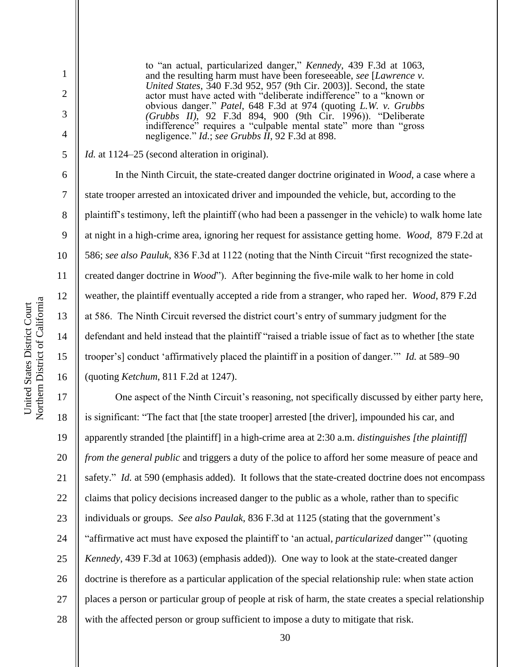2

3

4

5

6

7

8

9

10

11

12

13

14

15

16

to "an actual, particularized danger," *Kennedy*, 439 F.3d at 1063, and the resulting harm must have been foreseeable, *see* [*Lawrence v. United States*, 340 F.3d 952, 957 (9th Cir. 2003)]. Second, the state actor must have acted with "deliberate indifference" to a "known or obvious danger.‖ *Patel*, 648 F.3d at 974 (quoting *L.W. v. Grubbs (Grubbs II)*, 92 F.3d 894, 900 (9th Cir. 1996)). "Deliberate indifference" requires a "culpable mental state" more than "gross" negligence." *Id.*; *see Grubbs II*, 92 F.3d at 898.

*Id.* at 1124–25 (second alteration in original).

In the Ninth Circuit, the state-created danger doctrine originated in *Wood*, a case where a state trooper arrested an intoxicated driver and impounded the vehicle, but, according to the plaintiff's testimony, left the plaintiff (who had been a passenger in the vehicle) to walk home late at night in a high-crime area, ignoring her request for assistance getting home. *Wood*, 879 F.2d at 586; *see also Pauluk*, 836 F.3d at 1122 (noting that the Ninth Circuit ―first recognized the statecreated danger doctrine in *Wood*"). After beginning the five-mile walk to her home in cold weather, the plaintiff eventually accepted a ride from a stranger, who raped her. *Wood*, 879 F.2d at 586. The Ninth Circuit reversed the district court's entry of summary judgment for the defendant and held instead that the plaintiff "raised a triable issue of fact as to whether [the state trooper's] conduct 'affirmatively placed the plaintiff in a position of danger.'" *Id.* at 589–90 (quoting *Ketchum*, 811 F.2d at 1247).

17 18 19 20 21 22 23 24 25 26 27 28 One aspect of the Ninth Circuit's reasoning, not specifically discussed by either party here, is significant: "The fact that [the state trooper] arrested [the driver], impounded his car, and apparently stranded [the plaintiff] in a high-crime area at 2:30 a.m. *distinguishes [the plaintiff] from the general public* and triggers a duty of the police to afford her some measure of peace and safety." *Id.* at 590 (emphasis added). It follows that the state-created doctrine does not encompass claims that policy decisions increased danger to the public as a whole, rather than to specific individuals or groups. *See also Paulak*, 836 F.3d at 1125 (stating that the government's "affirmative act must have exposed the plaintiff to 'an actual, *particularized* danger'" (quoting *Kennedy*, 439 F.3d at 1063) (emphasis added)). One way to look at the state-created danger doctrine is therefore as a particular application of the special relationship rule: when state action places a person or particular group of people at risk of harm, the state creates a special relationship with the affected person or group sufficient to impose a duty to mitigate that risk.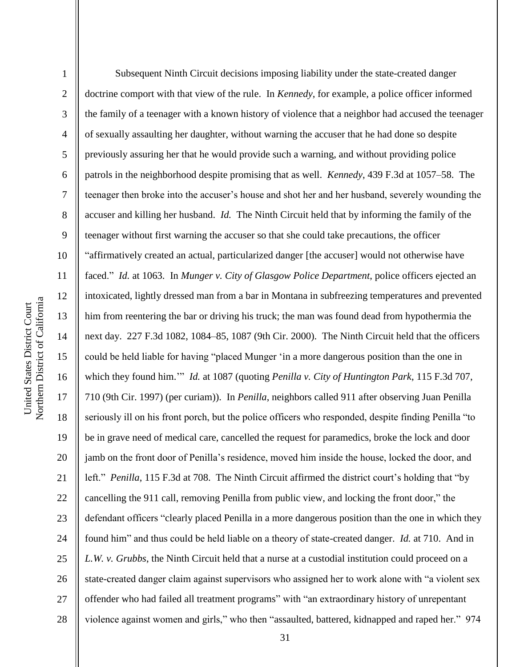Northern District of California Northern District of California United States District Court United States District Court

1 2 3 4 5 6 7 8 9 10 11 12 13 14 15 16 17 18 19 20 21 22 23 24 25 26 27 28 Subsequent Ninth Circuit decisions imposing liability under the state-created danger doctrine comport with that view of the rule. In *Kennedy*, for example, a police officer informed the family of a teenager with a known history of violence that a neighbor had accused the teenager of sexually assaulting her daughter, without warning the accuser that he had done so despite previously assuring her that he would provide such a warning, and without providing police patrols in the neighborhood despite promising that as well. *Kennedy*, 439 F.3d at 1057–58. The teenager then broke into the accuser's house and shot her and her husband, severely wounding the accuser and killing her husband. *Id.* The Ninth Circuit held that by informing the family of the teenager without first warning the accuser so that she could take precautions, the officer ―affirmatively created an actual, particularized danger [the accuser] would not otherwise have faced.‖ *Id.* at 1063. In *Munger v. City of Glasgow Police Department*, police officers ejected an intoxicated, lightly dressed man from a bar in Montana in subfreezing temperatures and prevented him from reentering the bar or driving his truck; the man was found dead from hypothermia the next day. 227 F.3d 1082, 1084–85, 1087 (9th Cir. 2000). The Ninth Circuit held that the officers could be held liable for having "placed Munger 'in a more dangerous position than the one in which they found him." *Id.* at 1087 (quoting *Penilla v. City of Huntington Park*, 115 F.3d 707, 710 (9th Cir. 1997) (per curiam)). In *Penilla*, neighbors called 911 after observing Juan Penilla seriously ill on his front porch, but the police officers who responded, despite finding Penilla "to" be in grave need of medical care, cancelled the request for paramedics, broke the lock and door jamb on the front door of Penilla's residence, moved him inside the house, locked the door, and left." *Penilla*, 115 F.3d at 708. The Ninth Circuit affirmed the district court's holding that "by cancelling the 911 call, removing Penilla from public view, and locking the front door," the defendant officers "clearly placed Penilla in a more dangerous position than the one in which they found him" and thus could be held liable on a theory of state-created danger. *Id.* at 710. And in *L.W. v. Grubbs*, the Ninth Circuit held that a nurse at a custodial institution could proceed on a state-created danger claim against supervisors who assigned her to work alone with "a violent sex offender who had failed all treatment programs" with "an extraordinary history of unrepentant violence against women and girls," who then "assaulted, battered, kidnapped and raped her." 974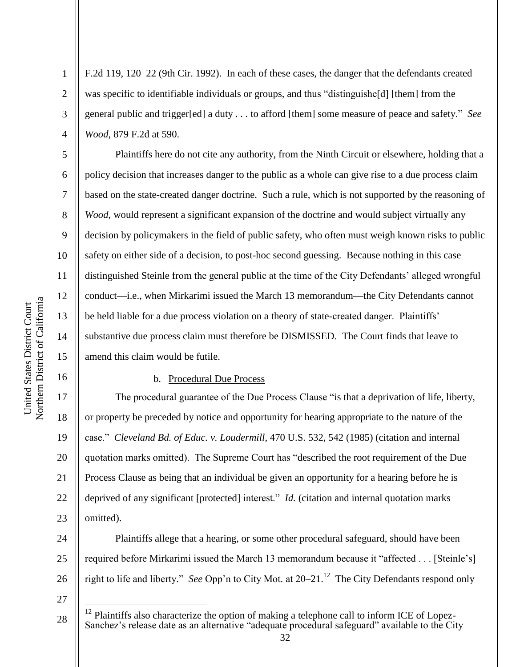2

3

4

5

6

7

8

9

10

11

12

13

14

15

16

F.2d 119, 120–22 (9th Cir. 1992). In each of these cases, the danger that the defendants created was specific to identifiable individuals or groups, and thus "distinguishe $[d]$  [them] from the general public and trigger[ed] a duty . . . to afford [them] some measure of peace and safety." See *Wood*, 879 F.2d at 590.

Plaintiffs here do not cite any authority, from the Ninth Circuit or elsewhere, holding that a policy decision that increases danger to the public as a whole can give rise to a due process claim based on the state-created danger doctrine. Such a rule, which is not supported by the reasoning of *Wood*, would represent a significant expansion of the doctrine and would subject virtually any decision by policymakers in the field of public safety, who often must weigh known risks to public safety on either side of a decision, to post-hoc second guessing. Because nothing in this case distinguished Steinle from the general public at the time of the City Defendants' alleged wrongful conduct—i.e., when Mirkarimi issued the March 13 memorandum—the City Defendants cannot be held liable for a due process violation on a theory of state-created danger. Plaintiffs' substantive due process claim must therefore be DISMISSED. The Court finds that leave to amend this claim would be futile.

#### b. Procedural Due Process

17 18 19 20 21 22 23 The procedural guarantee of the Due Process Clause "is that a deprivation of life, liberty, or property be preceded by notice and opportunity for hearing appropriate to the nature of the case.‖ *Cleveland Bd. of Educ. v. Loudermill*, 470 U.S. 532, 542 (1985) (citation and internal quotation marks omitted). The Supreme Court has "described the root requirement of the Due Process Clause as being that an individual be given an opportunity for a hearing before he is deprived of any significant [protected] interest." *Id.* (citation and internal quotation marks omitted).

Plaintiffs allege that a hearing, or some other procedural safeguard, should have been required before Mirkarimi issued the March 13 memorandum because it "affected . . . [Steinle's] right to life and liberty." *See* Opp'n to City Mot. at 20–21.<sup>12</sup> The City Defendants respond only

27

 $\overline{a}$ 

24

25

<sup>28</sup>  $12$  Plaintiffs also characterize the option of making a telephone call to inform ICE of Lopez-Sanchez's release date as an alternative "adequate procedural safeguard" available to the City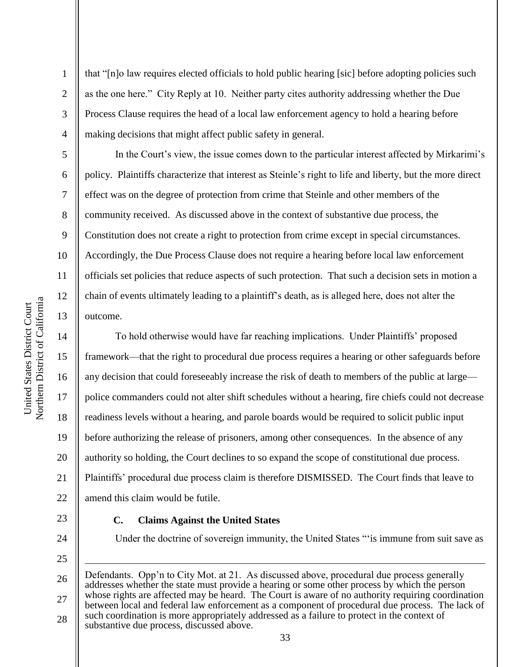2

3

4

5

6

7

8

9

10

11

12

13

14

15

17

18

19

21

22

24

25

that "[n]o law requires elected officials to hold public hearing [sic] before adopting policies such as the one here." City Reply at 10. Neither party cites authority addressing whether the Due Process Clause requires the head of a local law enforcement agency to hold a hearing before making decisions that might affect public safety in general.

In the Court's view, the issue comes down to the particular interest affected by Mirkarimi's policy. Plaintiffs characterize that interest as Steinle's right to life and liberty, but the more direct effect was on the degree of protection from crime that Steinle and other members of the community received. As discussed above in the context of substantive due process, the Constitution does not create a right to protection from crime except in special circumstances. Accordingly, the Due Process Clause does not require a hearing before local law enforcement officials set policies that reduce aspects of such protection. That such a decision sets in motion a chain of events ultimately leading to a plaintiff's death, as is alleged here, does not alter the outcome.

16 20 To hold otherwise would have far reaching implications. Under Plaintiffs' proposed framework—that the right to procedural due process requires a hearing or other safeguards before any decision that could foreseeably increase the risk of death to members of the public at large police commanders could not alter shift schedules without a hearing, fire chiefs could not decrease readiness levels without a hearing, and parole boards would be required to solicit public input before authorizing the release of prisoners, among other consequences. In the absence of any authority so holding, the Court declines to so expand the scope of constitutional due process. Plaintiffs' procedural due process claim is therefore DISMISSED. The Court finds that leave to amend this claim would be futile.

23

1

#### **C. Claims Against the United States**

Under the doctrine of sovereign immunity, the United States ""is immune from suit save as

26 27 28 Defendants. Opp'n to City Mot. at 21. As discussed above, procedural due process generally addresses whether the state must provide a hearing or some other process by which the person whose rights are affected may be heard. The Court is aware of no authority requiring coordination between local and federal law enforcement as a component of procedural due process. The lack of such coordination is more appropriately addressed as a failure to protect in the context of substantive due process, discussed above.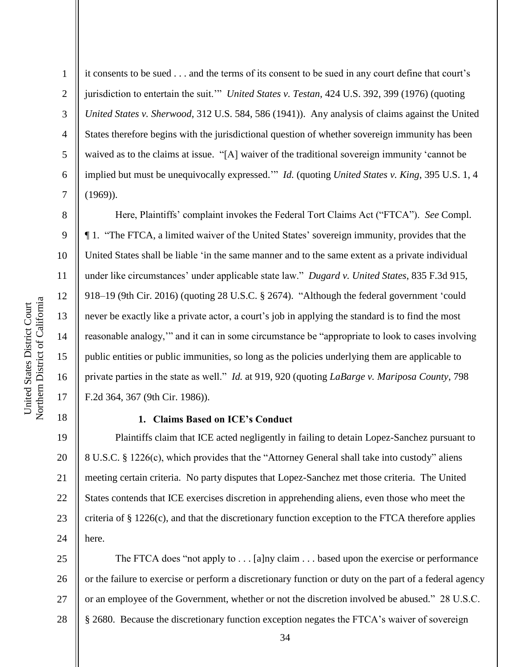2

3

4

5

6

7

8

9

10

11

12

13

14

15

16

17

18

it consents to be sued . . . and the terms of its consent to be sued in any court define that court's jurisdiction to entertain the suit." *United States v. Testan*, 424 U.S. 392, 399 (1976) (quoting *United States v. Sherwood*, 312 U.S. 584, 586 (1941)). Any analysis of claims against the United States therefore begins with the jurisdictional question of whether sovereign immunity has been waived as to the claims at issue. "[A] waiver of the traditional sovereign immunity 'cannot be implied but must be unequivocally expressed." *Id.* (quoting *United States v. King*, 395 U.S. 1, 4 (1969)).

Here, Plaintiffs' complaint invokes the Federal Tort Claims Act ("FTCA"). *See* Compl. ¶ 1. ―The FTCA, a limited waiver of the United States' sovereign immunity, provides that the United States shall be liable ‗in the same manner and to the same extent as a private individual under like circumstances' under applicable state law.‖ *Dugard v. United States*, 835 F.3d 915, 918–19 (9th Cir. 2016) (quoting 28 U.S.C. § 2674). "Although the federal government 'could never be exactly like a private actor, a court's job in applying the standard is to find the most reasonable analogy," and it can in some circumstance be "appropriate to look to cases involving public entities or public immunities, so long as the policies underlying them are applicable to private parties in the state as well." *Id.* at 919, 920 (quoting *LaBarge v. Mariposa County*, 798 F.2d 364, 367 (9th Cir. 1986)).

**1. Claims Based on ICE's Conduct**

19 20 21 22 23 24 Plaintiffs claim that ICE acted negligently in failing to detain Lopez-Sanchez pursuant to 8 U.S.C. § 1226(c), which provides that the "Attorney General shall take into custody" aliens meeting certain criteria. No party disputes that Lopez-Sanchez met those criteria. The United States contends that ICE exercises discretion in apprehending aliens, even those who meet the criteria of § 1226(c), and that the discretionary function exception to the FTCA therefore applies here.

25 26 27 28 The FTCA does "not apply to  $\dots$  [a]ny claim  $\dots$  based upon the exercise or performance or the failure to exercise or perform a discretionary function or duty on the part of a federal agency or an employee of the Government, whether or not the discretion involved be abused." 28 U.S.C. § 2680. Because the discretionary function exception negates the FTCA's waiver of sovereign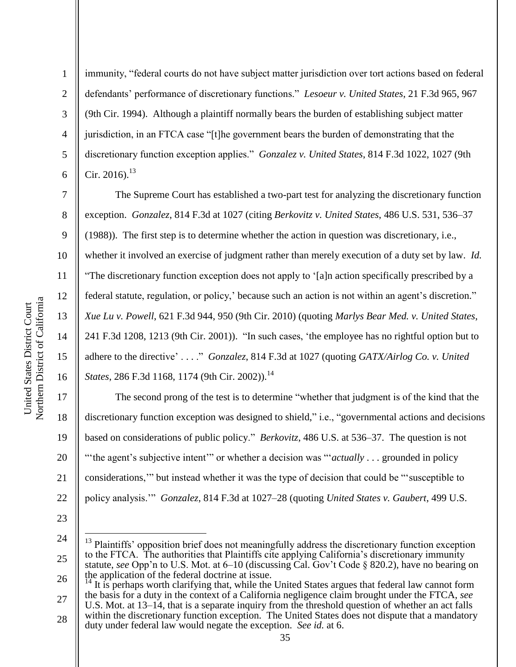2

3

4

5

6

7

8

9

10

11

12

13

14

15

16

17

18

19

20

21

22

immunity, "federal courts do not have subject matter jurisdiction over tort actions based on federal defendants' performance of discretionary functions.‖ *Lesoeur v. United States*, 21 F.3d 965, 967 (9th Cir. 1994). Although a plaintiff normally bears the burden of establishing subject matter jurisdiction, in an FTCA case "[t]he government bears the burden of demonstrating that the discretionary function exception applies.‖ *Gonzalez v. United States*, 814 F.3d 1022, 1027 (9th Cir. 2016). $^{13}$ 

The Supreme Court has established a two-part test for analyzing the discretionary function exception. *Gonzalez*, 814 F.3d at 1027 (citing *Berkovitz v. United States*, 486 U.S. 531, 536–37 (1988)). The first step is to determine whether the action in question was discretionary, i.e., whether it involved an exercise of judgment rather than merely execution of a duty set by law. *Id.* ―The discretionary function exception does not apply to ‗[a]n action specifically prescribed by a federal statute, regulation, or policy,' because such an action is not within an agent's discretion." *Xue Lu v. Powell*, 621 F.3d 944, 950 (9th Cir. 2010) (quoting *Marlys Bear Med. v. United States*, 241 F.3d 1208, 1213 (9th Cir. 2001)). "In such cases, 'the employee has no rightful option but to adhere to the directive' . . . . " *Gonzalez*, 814 F.3d at 1027 (quoting *GATX/Airlog Co. v. United States*, 286 F.3d 1168, 1174 (9th Cir. 2002)).<sup>14</sup>

The second prong of the test is to determine "whether that judgment is of the kind that the discretionary function exception was designed to shield," i.e., "governmental actions and decisions based on considerations of public policy.‖ *Berkovitz*, 486 U.S. at 536–37. The question is not "the agent's subjective intent" or whether a decision was "*actually* . . . grounded in policy considerations," but instead whether it was the type of decision that could be "susceptible to policy analysis.'‖ *Gonzalez*, 814 F.3d at 1027–28 (quoting *United States v. Gaubert*, 499 U.S.

23

 $\overline{a}$ 

<sup>24</sup>

<sup>25</sup> 26 <sup>13</sup> Plaintiffs' opposition brief does not meaningfully address the discretionary function exception to the FTCA. The authorities that Plaintiffs cite applying California's discretionary immunity statute, *see* Opp'n to U.S. Mot. at 6–10 (discussing Cal. Gov't Code § 820.2), have no bearing on the application of the federal doctrine at issue.<br><sup>14</sup> It is perhaps worth at  $\frac{1}{2}$ .

<sup>27</sup> It is perhaps worth clarifying that, while the United States argues that federal law cannot form the basis for a duty in the context of a California negligence claim brought under the FTCA, *see*

U.S. Mot. at 13–14, that is a separate inquiry from the threshold question of whether an act falls within the discretionary function exception. The United States does not dispute that a mandatory

<sup>28</sup> duty under federal law would negate the exception. *See id.* at 6.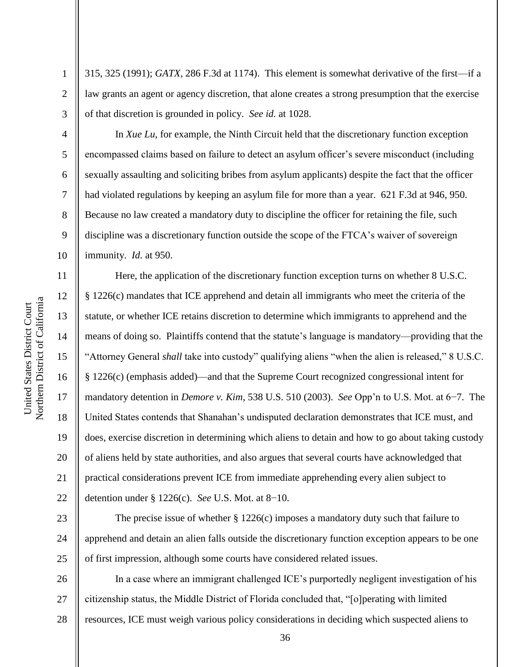4

5

6

7

8

9

10

11

12

13

14

15

16

17

18

19

20

21

22

2 3 315, 325 (1991); *GATX*, 286 F.3d at 1174). This element is somewhat derivative of the first—if a law grants an agent or agency discretion, that alone creates a strong presumption that the exercise of that discretion is grounded in policy. *See id.* at 1028.

In *Xue Lu*, for example, the Ninth Circuit held that the discretionary function exception encompassed claims based on failure to detect an asylum officer's severe misconduct (including sexually assaulting and soliciting bribes from asylum applicants) despite the fact that the officer had violated regulations by keeping an asylum file for more than a year. 621 F.3d at 946, 950. Because no law created a mandatory duty to discipline the officer for retaining the file, such discipline was a discretionary function outside the scope of the FTCA's waiver of sovereign immunity. *Id.* at 950.

Here, the application of the discretionary function exception turns on whether 8 U.S.C. § 1226(c) mandates that ICE apprehend and detain all immigrants who meet the criteria of the statute, or whether ICE retains discretion to determine which immigrants to apprehend and the means of doing so. Plaintiffs contend that the statute's language is mandatory—providing that the "Attorney General *shall* take into custody" qualifying aliens "when the alien is released," 8 U.S.C. § 1226(c) (emphasis added)—and that the Supreme Court recognized congressional intent for mandatory detention in *Demore v. Kim*, 538 U.S. 510 (2003). *See* Opp'n to U.S. Mot. at 6−7. The United States contends that Shanahan's undisputed declaration demonstrates that ICE must, and does, exercise discretion in determining which aliens to detain and how to go about taking custody of aliens held by state authorities, and also argues that several courts have acknowledged that practical considerations prevent ICE from immediate apprehending every alien subject to detention under § 1226(c). *See* U.S. Mot. at 8−10.

23 24 25 The precise issue of whether  $\S 1226(c)$  imposes a mandatory duty such that failure to apprehend and detain an alien falls outside the discretionary function exception appears to be one of first impression, although some courts have considered related issues.

26 27 28 In a case where an immigrant challenged ICE's purportedly negligent investigation of his citizenship status, the Middle District of Florida concluded that, "[o]perating with limited resources, ICE must weigh various policy considerations in deciding which suspected aliens to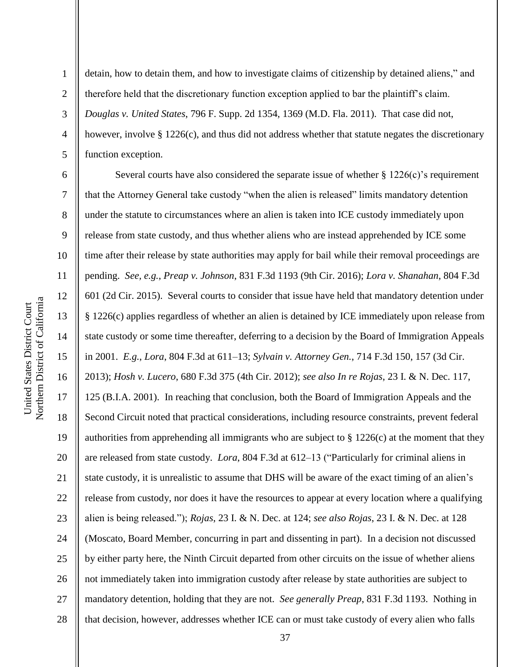2

3

4

5

detain, how to detain them, and how to investigate claims of citizenship by detained aliens," and therefore held that the discretionary function exception applied to bar the plaintiff's claim. *Douglas v. United States*, 796 F. Supp. 2d 1354, 1369 (M.D. Fla. 2011). That case did not, however, involve § 1226(c), and thus did not address whether that statute negates the discretionary function exception.

6 7 8 9 10 11 12 13 14 15 16 17 18 19 20 21 22 23 24 25 26 27 28 Several courts have also considered the separate issue of whether  $\S 1226(c)$ 's requirement that the Attorney General take custody "when the alien is released" limits mandatory detention under the statute to circumstances where an alien is taken into ICE custody immediately upon release from state custody, and thus whether aliens who are instead apprehended by ICE some time after their release by state authorities may apply for bail while their removal proceedings are pending. *See, e.g.*, *Preap v. Johnson*, 831 F.3d 1193 (9th Cir. 2016); *Lora v. Shanahan*, 804 F.3d 601 (2d Cir. 2015). Several courts to consider that issue have held that mandatory detention under § 1226(c) applies regardless of whether an alien is detained by ICE immediately upon release from state custody or some time thereafter, deferring to a decision by the Board of Immigration Appeals in 2001. *E.g.*, *Lora*, 804 F.3d at 611–13; *Sylvain v. Attorney Gen.*, 714 F.3d 150, 157 (3d Cir. 2013); *Hosh v. Lucero*, 680 F.3d 375 (4th Cir. 2012); *see also In re Rojas*, 23 I. & N. Dec. 117, 125 (B.I.A. 2001). In reaching that conclusion, both the Board of Immigration Appeals and the Second Circuit noted that practical considerations, including resource constraints, prevent federal authorities from apprehending all immigrants who are subject to  $\S 1226(c)$  at the moment that they are released from state custody. *Lora*, 804 F.3d at 612–13 ("Particularly for criminal aliens in state custody, it is unrealistic to assume that DHS will be aware of the exact timing of an alien's release from custody, nor does it have the resources to appear at every location where a qualifying alien is being released.‖); *Rojas*, 23 I. & N. Dec. at 124; *see also Rojas*, 23 I. & N. Dec. at 128 (Moscato, Board Member, concurring in part and dissenting in part). In a decision not discussed by either party here, the Ninth Circuit departed from other circuits on the issue of whether aliens not immediately taken into immigration custody after release by state authorities are subject to mandatory detention, holding that they are not. *See generally Preap*, 831 F.3d 1193. Nothing in that decision, however, addresses whether ICE can or must take custody of every alien who falls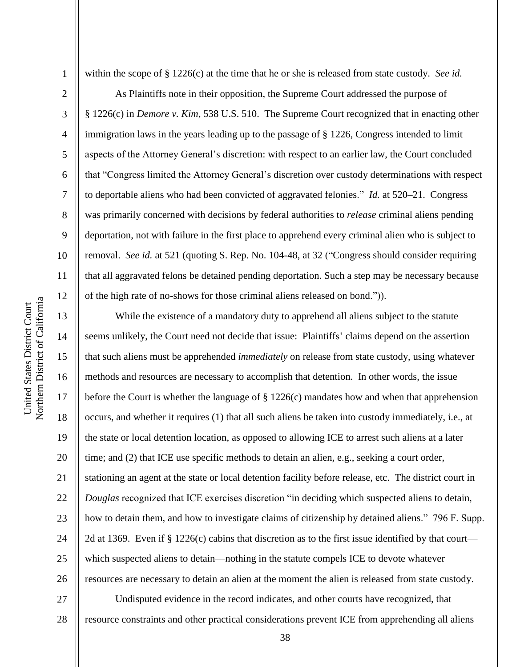2

3

4

5

6

7

8

9

10

11

12

13

14

15

16

17

18

19

20

21

22

23

24

25

26

within the scope of § 1226(c) at the time that he or she is released from state custody. *See id.*

As Plaintiffs note in their opposition, the Supreme Court addressed the purpose of § 1226(c) in *Demore v. Kim*, 538 U.S. 510. The Supreme Court recognized that in enacting other immigration laws in the years leading up to the passage of § 1226, Congress intended to limit aspects of the Attorney General's discretion: with respect to an earlier law, the Court concluded that "Congress limited the Attorney General's discretion over custody determinations with respect to deportable aliens who had been convicted of aggravated felonies." *Id.* at 520–21. Congress was primarily concerned with decisions by federal authorities to *release* criminal aliens pending deportation, not with failure in the first place to apprehend every criminal alien who is subject to removal. *See id.* at 521 (quoting S. Rep. No. 104-48, at 32 ("Congress should consider requiring that all aggravated felons be detained pending deportation. Such a step may be necessary because of the high rate of no-shows for those criminal aliens released on bond.")).

While the existence of a mandatory duty to apprehend all aliens subject to the statute seems unlikely, the Court need not decide that issue: Plaintiffs' claims depend on the assertion that such aliens must be apprehended *immediately* on release from state custody, using whatever methods and resources are necessary to accomplish that detention. In other words, the issue before the Court is whether the language of § 1226(c) mandates how and when that apprehension occurs, and whether it requires (1) that all such aliens be taken into custody immediately, i.e., at the state or local detention location, as opposed to allowing ICE to arrest such aliens at a later time; and (2) that ICE use specific methods to detain an alien, e.g., seeking a court order, stationing an agent at the state or local detention facility before release, etc. The district court in *Douglas* recognized that ICE exercises discretion "in deciding which suspected aliens to detain, how to detain them, and how to investigate claims of citizenship by detained aliens." 796 F. Supp. 2d at 1369. Even if § 1226(c) cabins that discretion as to the first issue identified by that court which suspected aliens to detain—nothing in the statute compels ICE to devote whatever resources are necessary to detain an alien at the moment the alien is released from state custody.

27 28 Undisputed evidence in the record indicates, and other courts have recognized, that resource constraints and other practical considerations prevent ICE from apprehending all aliens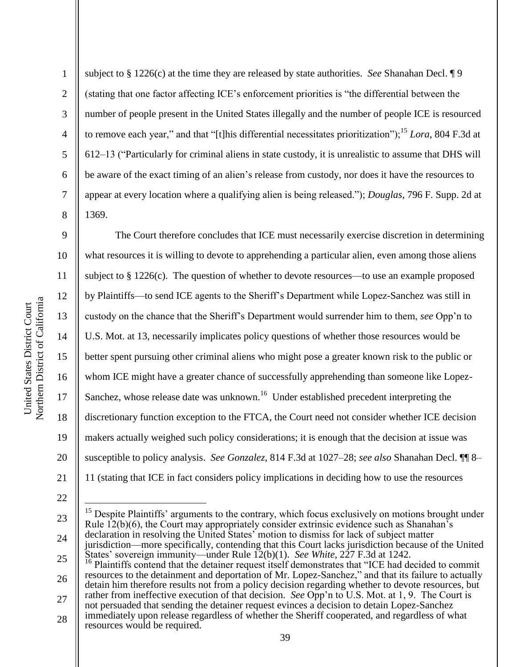Northern District of California Northern District of California United States District Court United States District Court

1

2

3

4

5

6

7

8

subject to § 1226(c) at the time they are released by state authorities. *See* Shanahan Decl. ¶ 9 (stating that one factor affecting ICE's enforcement priorities is "the differential between the number of people present in the United States illegally and the number of people ICE is resourced to remove each year," and that "[t]his differential necessitates prioritization");<sup>15</sup> *Lora*, 804 F.3d at  $612-13$  ("Particularly for criminal aliens in state custody, it is unrealistic to assume that DHS will be aware of the exact timing of an alien's release from custody, nor does it have the resources to appear at every location where a qualifying alien is being released.‖); *Douglas*, 796 F. Supp. 2d at 1369.

9 10 11 12 13 14 15 16 17 18 19 20 21 The Court therefore concludes that ICE must necessarily exercise discretion in determining what resources it is willing to devote to apprehending a particular alien, even among those aliens subject to  $\S 1226(c)$ . The question of whether to devote resources—to use an example proposed by Plaintiffs—to send ICE agents to the Sheriff's Department while Lopez-Sanchez was still in custody on the chance that the Sheriff's Department would surrender him to them, *see* Opp'n to U.S. Mot. at 13, necessarily implicates policy questions of whether those resources would be better spent pursuing other criminal aliens who might pose a greater known risk to the public or whom ICE might have a greater chance of successfully apprehending than someone like Lopez-Sanchez, whose release date was unknown.<sup>16</sup> Under established precedent interpreting the discretionary function exception to the FTCA, the Court need not consider whether ICE decision makers actually weighed such policy considerations; it is enough that the decision at issue was susceptible to policy analysis. *See Gonzalez*, 814 F.3d at 1027–28; *see also* Shanahan Decl. ¶¶ 8– 11 (stating that ICE in fact considers policy implications in deciding how to use the resources

22

 $\overline{a}$ 

<sup>23</sup> 24 25 <sup>15</sup> Despite Plaintiffs' arguments to the contrary, which focus exclusively on motions brought under Rule  $12(b)(6)$ , the Court may appropriately consider extrinsic evidence such as Shanahan's declaration in resolving the United States' motion to dismiss for lack of subject matter jurisdiction—more specifically, contending that this Court lacks jurisdiction because of the United States' sovereign immunity—under Rule 12(b)(1). *See White*, 227 F.3d at 1242. Plaintiffs contend that the detainer request itself demonstrates that "ICE had decided to commit

<sup>26</sup> 27 resources to the detainment and deportation of Mr. Lopez-Sanchez," and that its failure to actually detain him therefore results not from a policy decision regarding whether to devote resources, but rather from ineffective execution of that decision. *See* Opp'n to U.S. Mot. at 1, 9. The Court is

not persuaded that sending the detainer request evinces a decision to detain Lopez-Sanchez immediately upon release regardless of whether the Sheriff cooperated, and regardless of what

<sup>28</sup> resources would be required.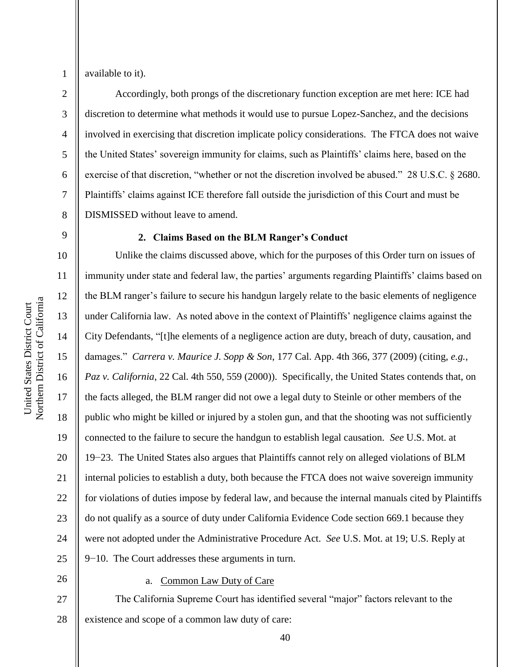3

4

5

6

7

8

available to it).

Accordingly, both prongs of the discretionary function exception are met here: ICE had discretion to determine what methods it would use to pursue Lopez-Sanchez, and the decisions involved in exercising that discretion implicate policy considerations. The FTCA does not waive the United States' sovereign immunity for claims, such as Plaintiffs' claims here, based on the exercise of that discretion, "whether or not the discretion involved be abused." 28 U.S.C. § 2680. Plaintiffs' claims against ICE therefore fall outside the jurisdiction of this Court and must be DISMISSED without leave to amend.

## 9

10

11

12

13

14

15

16

17

18

19

20

21

22

23

24

25

#### **2. Claims Based on the BLM Ranger's Conduct**

Unlike the claims discussed above, which for the purposes of this Order turn on issues of immunity under state and federal law, the parties' arguments regarding Plaintiffs' claims based on the BLM ranger's failure to secure his handgun largely relate to the basic elements of negligence under California law. As noted above in the context of Plaintiffs' negligence claims against the City Defendants, "[t]he elements of a negligence action are duty, breach of duty, causation, and damages.‖ *Carrera v. Maurice J. Sopp & Son*, 177 Cal. App. 4th 366, 377 (2009) (citing, *e.g.*, *Paz v. California*, 22 Cal. 4th 550, 559 (2000)). Specifically, the United States contends that, on the facts alleged, the BLM ranger did not owe a legal duty to Steinle or other members of the public who might be killed or injured by a stolen gun, and that the shooting was not sufficiently connected to the failure to secure the handgun to establish legal causation. *See* U.S. Mot. at 19−23. The United States also argues that Plaintiffs cannot rely on alleged violations of BLM internal policies to establish a duty, both because the FTCA does not waive sovereign immunity for violations of duties impose by federal law, and because the internal manuals cited by Plaintiffs do not qualify as a source of duty under California Evidence Code section 669.1 because they were not adopted under the Administrative Procedure Act. *See* U.S. Mot. at 19; U.S. Reply at 9−10. The Court addresses these arguments in turn.

# 26

## a. Common Law Duty of Care

27 28 The California Supreme Court has identified several "major" factors relevant to the existence and scope of a common law duty of care: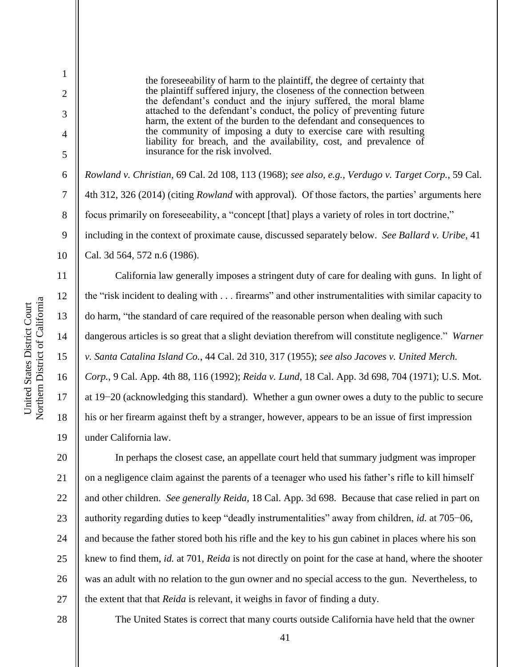2

3

4

5

6

7

8

9

10

11

12

13

14

15

16

17

18

19

the foreseeability of harm to the plaintiff, the degree of certainty that the plaintiff suffered injury, the closeness of the connection between the defendant's conduct and the injury suffered, the moral blame attached to the defendant's conduct, the policy of preventing future harm, the extent of the burden to the defendant and consequences to the community of imposing a duty to exercise care with resulting liability for breach, and the availability, cost, and prevalence of insurance for the risk involved.

*Rowland v. Christian*, 69 Cal. 2d 108, 113 (1968); *see also, e.g.*, *Verdugo v. Target Corp.*, 59 Cal. 4th 312, 326 (2014) (citing *Rowland* with approval). Of those factors, the parties' arguments here focus primarily on foreseeability, a "concept [that] plays a variety of roles in tort doctrine," including in the context of proximate cause, discussed separately below. *See Ballard v. Uribe*, 41 Cal. 3d 564, 572 n.6 (1986).

California law generally imposes a stringent duty of care for dealing with guns. In light of the "risk incident to dealing with . . . firearms" and other instrumentalities with similar capacity to do harm, "the standard of care required of the reasonable person when dealing with such dangerous articles is so great that a slight deviation therefrom will constitute negligence." *Warner v. Santa Catalina Island Co.*, 44 Cal. 2d 310, 317 (1955); *see also Jacoves v. United Merch. Corp.*, 9 Cal. App. 4th 88, 116 (1992); *Reida v. Lund*, 18 Cal. App. 3d 698, 704 (1971); U.S. Mot. at 19−20 (acknowledging this standard). Whether a gun owner owes a duty to the public to secure his or her firearm against theft by a stranger, however, appears to be an issue of first impression under California law.

20 21 22 23 24 25 26 27 In perhaps the closest case, an appellate court held that summary judgment was improper on a negligence claim against the parents of a teenager who used his father's rifle to kill himself and other children. *See generally Reida*, 18 Cal. App. 3d 698. Because that case relied in part on authority regarding duties to keep "deadly instrumentalities" away from children, *id.* at 705–06, and because the father stored both his rifle and the key to his gun cabinet in places where his son knew to find them, *id.* at 701, *Reida* is not directly on point for the case at hand, where the shooter was an adult with no relation to the gun owner and no special access to the gun. Nevertheless, to the extent that that *Reida* is relevant, it weighs in favor of finding a duty.

28

The United States is correct that many courts outside California have held that the owner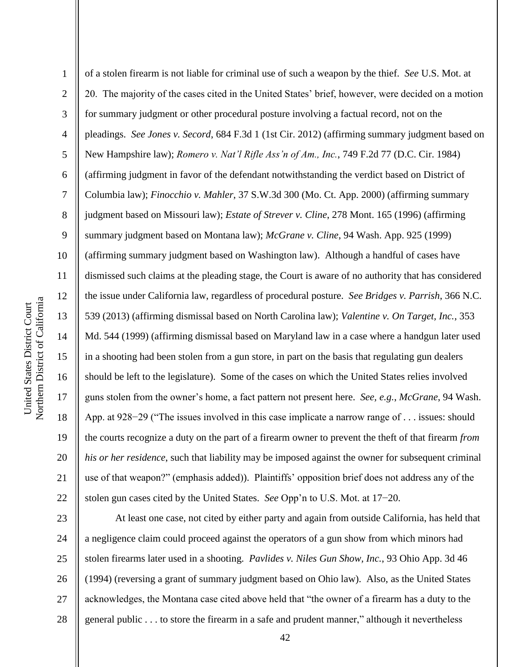1 2 3 4 5 6 7 8 9 10 11 12 13 14 15 16 17 18 19 20 21 22 of a stolen firearm is not liable for criminal use of such a weapon by the thief. *See* U.S. Mot. at 20. The majority of the cases cited in the United States' brief, however, were decided on a motion for summary judgment or other procedural posture involving a factual record, not on the pleadings. *See Jones v. Secord*, 684 F.3d 1 (1st Cir. 2012) (affirming summary judgment based on New Hampshire law); *Romero v. Nat'l Rifle Ass'n of Am., Inc.*, 749 F.2d 77 (D.C. Cir. 1984) (affirming judgment in favor of the defendant notwithstanding the verdict based on District of Columbia law); *Finocchio v. Mahler*, 37 S.W.3d 300 (Mo. Ct. App. 2000) (affirming summary judgment based on Missouri law); *Estate of Strever v. Cline*, 278 Mont. 165 (1996) (affirming summary judgment based on Montana law); *McGrane v. Cline*, 94 Wash. App. 925 (1999) (affirming summary judgment based on Washington law). Although a handful of cases have dismissed such claims at the pleading stage, the Court is aware of no authority that has considered the issue under California law, regardless of procedural posture. *See Bridges v. Parrish*, 366 N.C. 539 (2013) (affirming dismissal based on North Carolina law); *Valentine v. On Target, Inc.*, 353 Md. 544 (1999) (affirming dismissal based on Maryland law in a case where a handgun later used in a shooting had been stolen from a gun store, in part on the basis that regulating gun dealers should be left to the legislature). Some of the cases on which the United States relies involved guns stolen from the owner's home, a fact pattern not present here. *See, e.g.*, *McGrane*, 94 Wash. App. at 928−29 ("The issues involved in this case implicate a narrow range of . . . issues: should the courts recognize a duty on the part of a firearm owner to prevent the theft of that firearm *from his or her residence*, such that liability may be imposed against the owner for subsequent criminal use of that weapon?" (emphasis added)). Plaintiffs' opposition brief does not address any of the stolen gun cases cited by the United States. *See* Opp'n to U.S. Mot. at 17−20.

23 24 25 26 27 28 At least one case, not cited by either party and again from outside California, has held that a negligence claim could proceed against the operators of a gun show from which minors had stolen firearms later used in a shooting. *Pavlides v. Niles Gun Show, Inc.*, 93 Ohio App. 3d 46 (1994) (reversing a grant of summary judgment based on Ohio law). Also, as the United States acknowledges, the Montana case cited above held that "the owner of a firearm has a duty to the general public  $\dots$  to store the firearm in a safe and prudent manner," although it nevertheless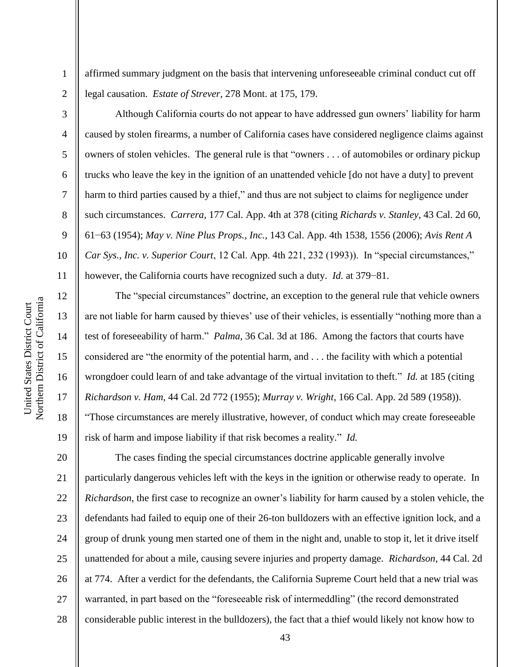Northern District of California Northern District of California United States District Court United States District Court

affirmed summary judgment on the basis that intervening unforeseeable criminal conduct cut off legal causation. *Estate of Strever*, 278 Mont. at 175, 179.

2 3

4

5

6

7

8

9

10

11

12

13

14

15

16

17

18

19

1

Although California courts do not appear to have addressed gun owners' liability for harm caused by stolen firearms, a number of California cases have considered negligence claims against owners of stolen vehicles. The general rule is that "owners . . . of automobiles or ordinary pickup trucks who leave the key in the ignition of an unattended vehicle [do not have a duty] to prevent harm to third parties caused by a thief," and thus are not subject to claims for negligence under such circumstances. *Carrera*, 177 Cal. App. 4th at 378 (citing *Richards v. Stanley*, 43 Cal. 2d 60, 61−63 (1954); *May v. Nine Plus Props., Inc.*, 143 Cal. App. 4th 1538, 1556 (2006); *Avis Rent A Car Sys., Inc. v. Superior Court, 12 Cal. App. 4th 221, 232 (1993)).* In "special circumstances," however, the California courts have recognized such a duty. *Id.* at 379−81.

The "special circumstances" doctrine, an exception to the general rule that vehicle owners are not liable for harm caused by thieves' use of their vehicles, is essentially "nothing more than a test of foreseeability of harm." *Palma*, 36 Cal. 3d at 186. Among the factors that courts have considered are "the enormity of the potential harm, and  $\dots$  the facility with which a potential wrongdoer could learn of and take advantage of the virtual invitation to theft." *Id.* at 185 (citing *Richardson v. Ham*, 44 Cal. 2d 772 (1955); *Murray v. Wright*, 166 Cal. App. 2d 589 (1958)). ―Those circumstances are merely illustrative, however, of conduct which may create foreseeable risk of harm and impose liability if that risk becomes a reality." *Id.* 

20 21 22 23 24 25 26 27 28 The cases finding the special circumstances doctrine applicable generally involve particularly dangerous vehicles left with the keys in the ignition or otherwise ready to operate. In *Richardson*, the first case to recognize an owner's liability for harm caused by a stolen vehicle, the defendants had failed to equip one of their 26-ton bulldozers with an effective ignition lock, and a group of drunk young men started one of them in the night and, unable to stop it, let it drive itself unattended for about a mile, causing severe injuries and property damage. *Richardson*, 44 Cal. 2d at 774. After a verdict for the defendants, the California Supreme Court held that a new trial was warranted, in part based on the "foreseeable risk of intermeddling" (the record demonstrated considerable public interest in the bulldozers), the fact that a thief would likely not know how to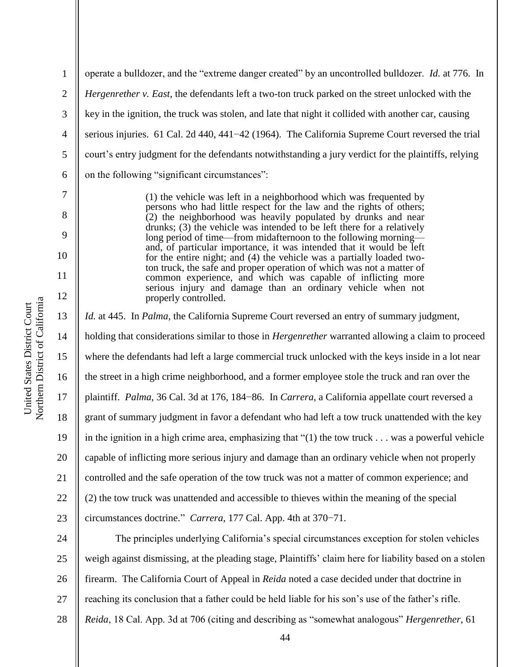2 3 4 5 6 operate a bulldozer, and the "extreme danger created" by an uncontrolled bulldozer. *Id.* at 776. In *Hergenrether v. East*, the defendants left a two-ton truck parked on the street unlocked with the key in the ignition, the truck was stolen, and late that night it collided with another car, causing serious injuries. 61 Cal. 2d 440, 441−42 (1964). The California Supreme Court reversed the trial court's entry judgment for the defendants notwithstanding a jury verdict for the plaintiffs, relying on the following "significant circumstances":

> (1) the vehicle was left in a neighborhood which was frequented by persons who had little respect for the law and the rights of others; (2) the neighborhood was heavily populated by drunks and near drunks; (3) the vehicle was intended to be left there for a relatively long period of time—from midafternoon to the following morning and, of particular importance, it was intended that it would be left for the entire night; and (4) the vehicle was a partially loaded twoton truck, the safe and proper operation of which was not a matter of common experience, and which was capable of inflicting more serious injury and damage than an ordinary vehicle when not properly controlled.

13 14 15 16 17 18 19 20 21 22 23 *Id.* at 445. In *Palma*, the California Supreme Court reversed an entry of summary judgment, holding that considerations similar to those in *Hergenrether* warranted allowing a claim to proceed where the defendants had left a large commercial truck unlocked with the keys inside in a lot near the street in a high crime neighborhood, and a former employee stole the truck and ran over the plaintiff. *Palma*, 36 Cal. 3d at 176, 184−86. In *Carrera*, a California appellate court reversed a grant of summary judgment in favor a defendant who had left a tow truck unattended with the key in the ignition in a high crime area, emphasizing that  $(1)$  the tow truck . . . was a powerful vehicle capable of inflicting more serious injury and damage than an ordinary vehicle when not properly controlled and the safe operation of the tow truck was not a matter of common experience; and (2) the tow truck was unattended and accessible to thieves within the meaning of the special circumstances doctrine.‖ *Carrera*, 177 Cal. App. 4th at 370−71. The principles underlying California's special circumstances exception for stolen vehicles

24 25 26 27 28 weigh against dismissing, at the pleading stage, Plaintiffs' claim here for liability based on a stolen firearm. The California Court of Appeal in *Reida* noted a case decided under that doctrine in reaching its conclusion that a father could be held liable for his son's use of the father's rifle. *Reida*, 18 Cal. App. 3d at 706 (citing and describing as "somewhat analogous" *Hergenrether*, 61

1

7

8

9

10

11

12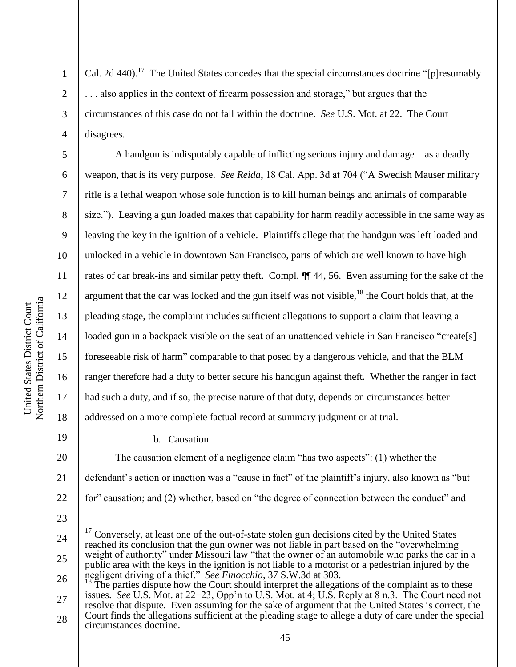2

3

4

5

6

7

8

9

10

11

12

13

14

15

16

17

18

19

Cal. 2d 440).<sup>17</sup> The United States concedes that the special circumstances doctrine "[p]resumably ... also applies in the context of firearm possession and storage," but argues that the circumstances of this case do not fall within the doctrine. *See* U.S. Mot. at 22. The Court disagrees.

A handgun is indisputably capable of inflicting serious injury and damage—as a deadly weapon, that is its very purpose. *See Reida*, 18 Cal. App. 3d at 704 ("A Swedish Mauser military rifle is a lethal weapon whose sole function is to kill human beings and animals of comparable size."). Leaving a gun loaded makes that capability for harm readily accessible in the same way as leaving the key in the ignition of a vehicle. Plaintiffs allege that the handgun was left loaded and unlocked in a vehicle in downtown San Francisco, parts of which are well known to have high rates of car break-ins and similar petty theft. Compl. ¶¶ 44, 56. Even assuming for the sake of the argument that the car was locked and the gun itself was not visible, $18$  the Court holds that, at the pleading stage, the complaint includes sufficient allegations to support a claim that leaving a loaded gun in a backpack visible on the seat of an unattended vehicle in San Francisco "create[s] foreseeable risk of harm" comparable to that posed by a dangerous vehicle, and that the BLM ranger therefore had a duty to better secure his handgun against theft. Whether the ranger in fact had such a duty, and if so, the precise nature of that duty, depends on circumstances better addressed on a more complete factual record at summary judgment or at trial.

b. Causation

20 21 22 The causation element of a negligence claim "has two aspects":  $(1)$  whether the defendant's action or inaction was a "cause in fact" of the plaintiff's injury, also known as "but for" causation; and (2) whether, based on "the degree of connection between the conduct" and

23

 $\overline{a}$ 

<sup>24</sup> 25 26 <sup>17</sup> Conversely, at least one of the out-of-state stolen gun decisions cited by the United States reached its conclusion that the gun owner was not liable in part based on the "overwhelming" weight of authority" under Missouri law "that the owner of an automobile who parks the car in a public area with the keys in the ignition is not liable to a motorist or a pedestrian injured by the negligent driving of a thief." *See Finocchio*, 37 S.W.3d at 303.<sup>18</sup> The parties dignote have defined as a control of the parties dignote have defined as a control of the parties dignote have defined as a control of the p

<sup>27</sup> 28 The parties dispute how the Court should interpret the allegations of the complaint as to these issues. *See* U.S. Mot. at 22−23, Opp'n to U.S. Mot. at 4; U.S. Reply at 8 n.3. The Court need not resolve that dispute. Even assuming for the sake of argument that the United States is correct, the Court finds the allegations sufficient at the pleading stage to allege a duty of care under the special circumstances doctrine.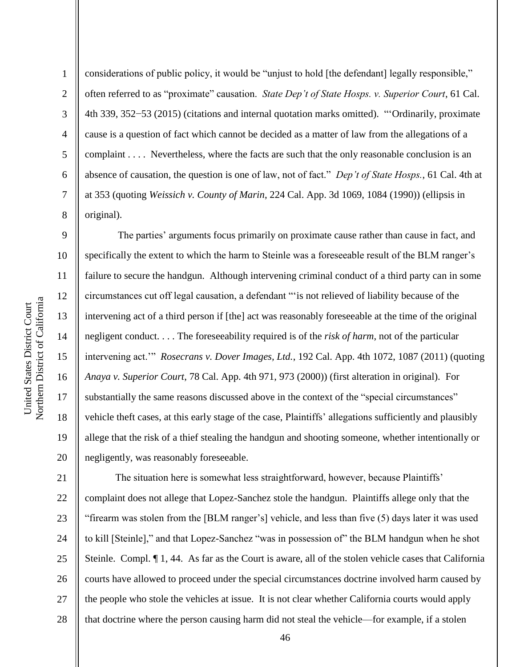Northern District of California Northern District of California United States District Court United States District Court

1

2

3

4

5

6

7

8

9

11

12

13

14

15

17

18

19

considerations of public policy, it would be "unjust to hold [the defendant] legally responsible," often referred to as "proximate" causation. *State Dep't of State Hosps. v. Superior Court*, 61 Cal. 4th 339, 352–53 (2015) (citations and internal quotation marks omitted). "Ordinarily, proximate cause is a question of fact which cannot be decided as a matter of law from the allegations of a complaint . . . . Nevertheless, where the facts are such that the only reasonable conclusion is an absence of causation, the question is one of law, not of fact." *Dep't of State Hosps.*, 61 Cal. 4th at at 353 (quoting *Weissich v. County of Marin*, 224 Cal. App. 3d 1069, 1084 (1990)) (ellipsis in original).

10 16 20 The parties' arguments focus primarily on proximate cause rather than cause in fact, and specifically the extent to which the harm to Steinle was a foreseeable result of the BLM ranger's failure to secure the handgun. Although intervening criminal conduct of a third party can in some circumstances cut off legal causation, a defendant ""is not relieved of liability because of the intervening act of a third person if [the] act was reasonably foreseeable at the time of the original negligent conduct. . . . The foreseeability required is of the *risk of harm*, not of the particular intervening act." *Rosecrans v. Dover Images, Ltd.*, 192 Cal. App. 4th 1072, 1087 (2011) (quoting *Anaya v. Superior Court*, 78 Cal. App. 4th 971, 973 (2000)) (first alteration in original). For substantially the same reasons discussed above in the context of the "special circumstances" vehicle theft cases, at this early stage of the case, Plaintiffs' allegations sufficiently and plausibly allege that the risk of a thief stealing the handgun and shooting someone, whether intentionally or negligently, was reasonably foreseeable.

21 22 23 24 25 26 27 28 The situation here is somewhat less straightforward, however, because Plaintiffs' complaint does not allege that Lopez-Sanchez stole the handgun. Plaintiffs allege only that the ―firearm was stolen from the [BLM ranger's] vehicle, and less than five (5) days later it was used to kill [Steinle]," and that Lopez-Sanchez "was in possession of" the BLM handgun when he shot Steinle. Compl. ¶ 1, 44. As far as the Court is aware, all of the stolen vehicle cases that California courts have allowed to proceed under the special circumstances doctrine involved harm caused by the people who stole the vehicles at issue. It is not clear whether California courts would apply that doctrine where the person causing harm did not steal the vehicle—for example, if a stolen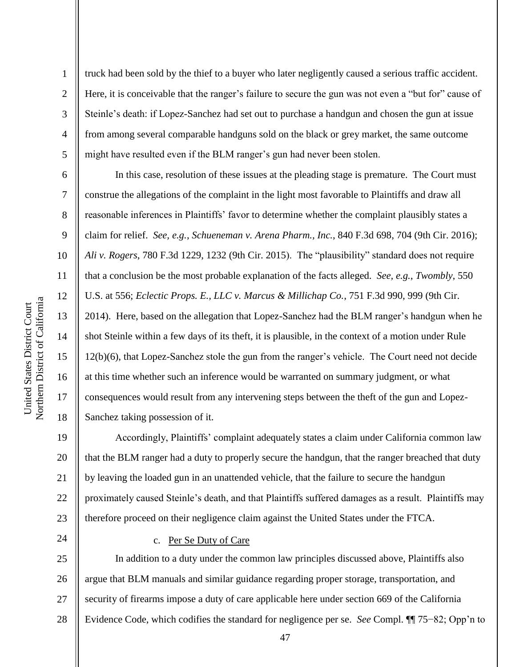2

3

4

5

6

7

8

9

10

11

12

13

14

15

16

17

18

24

truck had been sold by the thief to a buyer who later negligently caused a serious traffic accident. Here, it is conceivable that the ranger's failure to secure the gun was not even a "but for" cause of Steinle's death: if Lopez-Sanchez had set out to purchase a handgun and chosen the gun at issue from among several comparable handguns sold on the black or grey market, the same outcome might have resulted even if the BLM ranger's gun had never been stolen.

In this case, resolution of these issues at the pleading stage is premature. The Court must construe the allegations of the complaint in the light most favorable to Plaintiffs and draw all reasonable inferences in Plaintiffs' favor to determine whether the complaint plausibly states a claim for relief. *See, e.g.*, *Schueneman v. Arena Pharm., Inc.*, 840 F.3d 698, 704 (9th Cir. 2016); *Ali v. Rogers*, 780 F.3d 1229, 1232 (9th Cir. 2015). The "plausibility" standard does not require that a conclusion be the most probable explanation of the facts alleged. *See, e.g.*, *Twombly*, 550 U.S. at 556; *Eclectic Props. E., LLC v. Marcus & Millichap Co.*, 751 F.3d 990, 999 (9th Cir. 2014). Here, based on the allegation that Lopez-Sanchez had the BLM ranger's handgun when he shot Steinle within a few days of its theft, it is plausible, in the context of a motion under Rule 12(b)(6), that Lopez-Sanchez stole the gun from the ranger's vehicle. The Court need not decide at this time whether such an inference would be warranted on summary judgment, or what consequences would result from any intervening steps between the theft of the gun and Lopez-Sanchez taking possession of it.

19 20 21 22 23 Accordingly, Plaintiffs' complaint adequately states a claim under California common law that the BLM ranger had a duty to properly secure the handgun, that the ranger breached that duty by leaving the loaded gun in an unattended vehicle, that the failure to secure the handgun proximately caused Steinle's death, and that Plaintiffs suffered damages as a result. Plaintiffs may therefore proceed on their negligence claim against the United States under the FTCA.

c. Per Se Duty of Care

25 26 27 28 In addition to a duty under the common law principles discussed above, Plaintiffs also argue that BLM manuals and similar guidance regarding proper storage, transportation, and security of firearms impose a duty of care applicable here under section 669 of the California Evidence Code, which codifies the standard for negligence per se. *See* Compl. ¶¶ 75−82; Opp'n to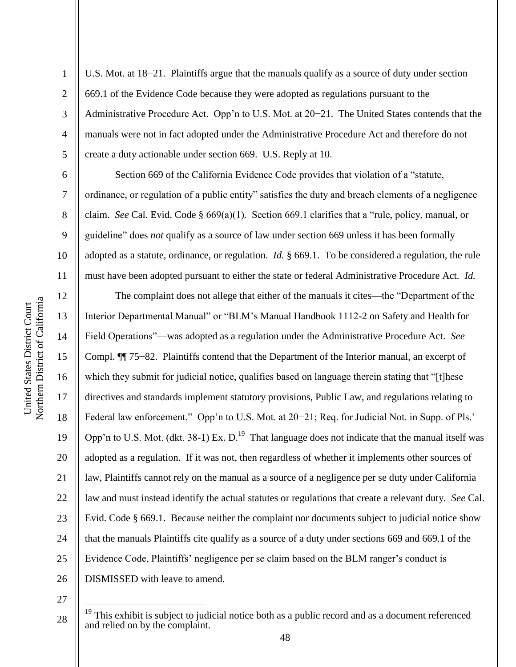2

3

4

5

6

7

8

9

10

11

U.S. Mot. at 18−21. Plaintiffs argue that the manuals qualify as a source of duty under section 669.1 of the Evidence Code because they were adopted as regulations pursuant to the Administrative Procedure Act. Opp'n to U.S. Mot. at 20−21. The United States contends that the manuals were not in fact adopted under the Administrative Procedure Act and therefore do not create a duty actionable under section 669. U.S. Reply at 10.

Section 669 of the California Evidence Code provides that violation of a "statute, ordinance, or regulation of a public entity" satisfies the duty and breach elements of a negligence claim. *See* Cal. Evid. Code § 669(a)(1). Section 669.1 clarifies that a "rule, policy, manual, or guideline" does *not* qualify as a source of law under section 669 unless it has been formally adopted as a statute, ordinance, or regulation. *Id.* § 669.1. To be considered a regulation, the rule must have been adopted pursuant to either the state or federal Administrative Procedure Act. *Id.*

12 13 14 15 16 17 18 19 20 21 22 23 24 25 26 The complaint does not allege that either of the manuals it cites—the "Department of the Interior Departmental Manual" or "BLM's Manual Handbook 1112-2 on Safety and Health for Field Operations"—was adopted as a regulation under the Administrative Procedure Act. See Compl. ¶¶ 75−82. Plaintiffs contend that the Department of the Interior manual, an excerpt of which they submit for judicial notice, qualifies based on language therein stating that "[t]hese directives and standards implement statutory provisions, Public Law, and regulations relating to Federal law enforcement.‖ Opp'n to U.S. Mot. at 20−21; Req. for Judicial Not. in Supp. of Pls.' Opp'n to U.S. Mot. (dkt. 38-1) Ex.  $D<sup>19</sup>$ . That language does not indicate that the manual itself was adopted as a regulation. If it was not, then regardless of whether it implements other sources of law, Plaintiffs cannot rely on the manual as a source of a negligence per se duty under California law and must instead identify the actual statutes or regulations that create a relevant duty. *See* Cal. Evid. Code § 669.1. Because neither the complaint nor documents subject to judicial notice show that the manuals Plaintiffs cite qualify as a source of a duty under sections 669 and 669.1 of the Evidence Code, Plaintiffs' negligence per se claim based on the BLM ranger's conduct is DISMISSED with leave to amend.

27

 $\overline{a}$ 

 $19$  This exhibit is subject to judicial notice both as a public record and as a document referenced and relied on by the complaint.